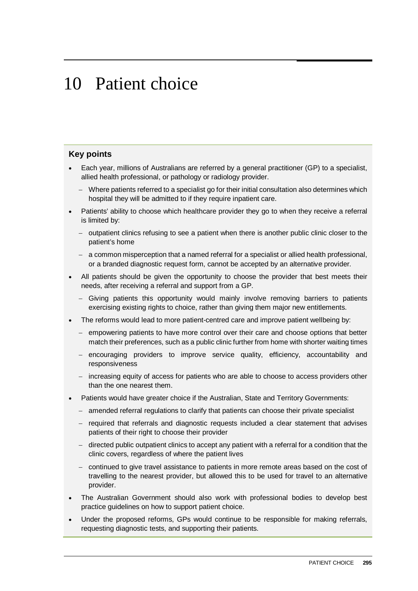# 10 Patient choice

#### **Key points**

- Each year, millions of Australians are referred by a general practitioner (GP) to a specialist, allied health professional, or pathology or radiology provider.
	- − Where patients referred to a specialist go for their initial consultation also determines which hospital they will be admitted to if they require inpatient care.
- Patients' ability to choose which healthcare provider they go to when they receive a referral is limited by:
	- − outpatient clinics refusing to see a patient when there is another public clinic closer to the patient's home
	- − a common misperception that a named referral for a specialist or allied health professional, or a branded diagnostic request form, cannot be accepted by an alternative provider.
- All patients should be given the opportunity to choose the provider that best meets their needs, after receiving a referral and support from a GP.
	- − Giving patients this opportunity would mainly involve removing barriers to patients exercising existing rights to choice, rather than giving them major new entitlements.
- The reforms would lead to more patient-centred care and improve patient wellbeing by:
	- − empowering patients to have more control over their care and choose options that better match their preferences, such as a public clinic further from home with shorter waiting times
	- − encouraging providers to improve service quality, efficiency, accountability and responsiveness
	- − increasing equity of access for patients who are able to choose to access providers other than the one nearest them.
- Patients would have greater choice if the Australian, State and Territory Governments:
	- − amended referral regulations to clarify that patients can choose their private specialist
	- − required that referrals and diagnostic requests included a clear statement that advises patients of their right to choose their provider
	- − directed public outpatient clinics to accept any patient with a referral for a condition that the clinic covers, regardless of where the patient lives
	- − continued to give travel assistance to patients in more remote areas based on the cost of travelling to the nearest provider, but allowed this to be used for travel to an alternative provider.
- The Australian Government should also work with professional bodies to develop best practice guidelines on how to support patient choice.
- Under the proposed reforms, GPs would continue to be responsible for making referrals, requesting diagnostic tests, and supporting their patients.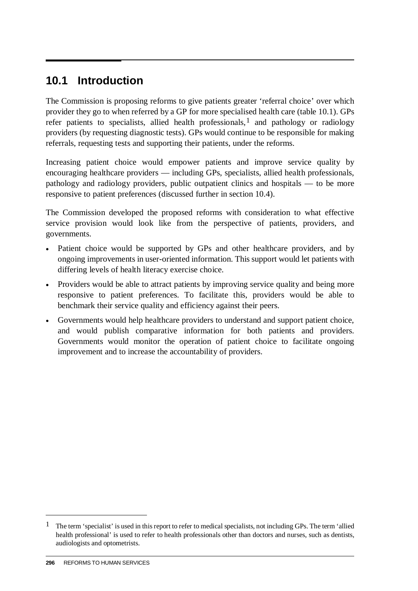# **10.1 Introduction**

The Commission is proposing reforms to give patients greater 'referral choice' over which provider they go to when referred by a GP for more specialised health care (table 10.1). GPs refer patients to specialists, allied health professionals,  $1$  and pathology or radiology providers (by requesting diagnostic tests). GPs would continue to be responsible for making referrals, requesting tests and supporting their patients, under the reforms.

Increasing patient choice would empower patients and improve service quality by encouraging healthcare providers — including GPs, specialists, allied health professionals, pathology and radiology providers, public outpatient clinics and hospitals — to be more responsive to patient preferences (discussed further in section 10.4).

The Commission developed the proposed reforms with consideration to what effective service provision would look like from the perspective of patients, providers, and governments.

- Patient choice would be supported by GPs and other healthcare providers, and by ongoing improvements in user-oriented information. This support would let patients with differing levels of health literacy exercise choice.
- Providers would be able to attract patients by improving service quality and being more responsive to patient preferences. To facilitate this, providers would be able to benchmark their service quality and efficiency against their peers.
- Governments would help healthcare providers to understand and support patient choice, and would publish comparative information for both patients and providers. Governments would monitor the operation of patient choice to facilitate ongoing improvement and to increase the accountability of providers.

-

<span id="page-1-0"></span> $1$  The term 'specialist' is used in this report to refer to medical specialists, not including GPs. The term 'allied health professional' is used to refer to health professionals other than doctors and nurses, such as dentists, audiologists and optometrists.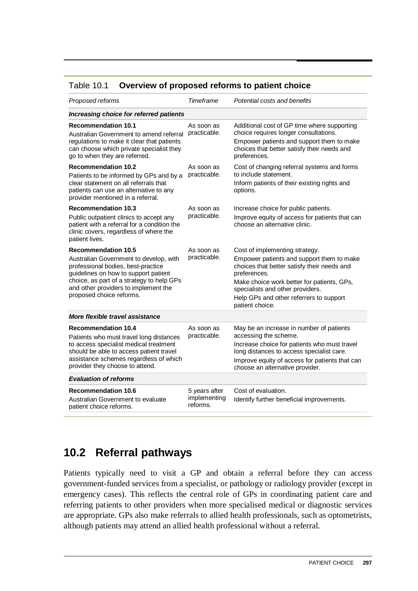#### Table 10.1 **Overview of proposed reforms to patient choice**

| Proposed reforms                                                                                                                                                                                                                                                    | Timeframe                                 | Potential costs and benefits                                                                                                                                                                                                                                                               |
|---------------------------------------------------------------------------------------------------------------------------------------------------------------------------------------------------------------------------------------------------------------------|-------------------------------------------|--------------------------------------------------------------------------------------------------------------------------------------------------------------------------------------------------------------------------------------------------------------------------------------------|
| Increasing choice for referred patients                                                                                                                                                                                                                             |                                           |                                                                                                                                                                                                                                                                                            |
| <b>Recommendation 10.1</b><br>Australian Government to amend referral<br>regulations to make it clear that patients<br>can choose which private specialist they<br>go to when they are referred.                                                                    | As soon as<br>practicable.                | Additional cost of GP time where supporting<br>choice requires longer consultations.<br>Empower patients and support them to make<br>choices that better satisfy their needs and<br>preferences.                                                                                           |
| <b>Recommendation 10.2</b><br>Patients to be informed by GPs and by a<br>clear statement on all referrals that<br>patients can use an alternative to any<br>provider mentioned in a referral.                                                                       | As soon as<br>practicable.                | Cost of changing referral systems and forms<br>to include statement.<br>Inform patients of their existing rights and<br>options.                                                                                                                                                           |
| <b>Recommendation 10.3</b><br>Public outpatient clinics to accept any<br>patient with a referral for a condition the<br>clinic covers, regardless of where the<br>patient lives.                                                                                    | As soon as<br>practicable.                | Increase choice for public patients.<br>Improve equity of access for patients that can<br>choose an alternative clinic.                                                                                                                                                                    |
| <b>Recommendation 10.5</b><br>Australian Government to develop, with<br>professional bodies, best-practice<br>guidelines on how to support patient<br>choice, as part of a strategy to help GPs<br>and other providers to implement the<br>proposed choice reforms. | As soon as<br>practicable.                | Cost of implementing strategy.<br>Empower patients and support them to make<br>choices that better satisfy their needs and<br>preferences.<br>Make choice work better for patients, GPs,<br>specialists and other providers.<br>Help GPs and other referrers to support<br>patient choice. |
| More flexible travel assistance                                                                                                                                                                                                                                     |                                           |                                                                                                                                                                                                                                                                                            |
| <b>Recommendation 10.4</b><br>Patients who must travel long distances<br>to access specialist medical treatment<br>should be able to access patient travel<br>assistance schemes regardless of which<br>provider they choose to attend.                             | As soon as<br>practicable.                | May be an increase in number of patients<br>accessing the scheme.<br>Increase choice for patients who must travel<br>long distances to access specialist care.<br>Improve equity of access for patients that can<br>choose an alternative provider.                                        |
| <b>Evaluation of reforms</b>                                                                                                                                                                                                                                        |                                           |                                                                                                                                                                                                                                                                                            |
| <b>Recommendation 10.6</b><br>Australian Government to evaluate<br>patient choice reforms.                                                                                                                                                                          | 5 years after<br>implementing<br>reforms. | Cost of evaluation.<br>Identify further beneficial improvements.                                                                                                                                                                                                                           |

# **10.2 Referral pathways**

Patients typically need to visit a GP and obtain a referral before they can access government-funded services from a specialist, or pathology or radiology provider (except in emergency cases). This reflects the central role of GPs in coordinating patient care and referring patients to other providers when more specialised medical or diagnostic services are appropriate. GPs also make referrals to allied health professionals, such as optometrists, although patients may attend an allied health professional without a referral.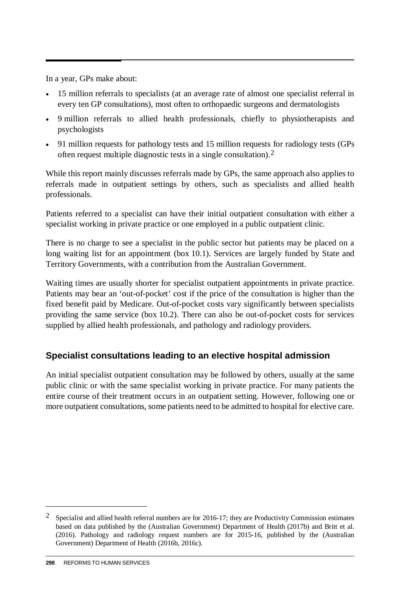In a year, GPs make about:

- 15 million referrals to specialists (at an average rate of almost one specialist referral in every ten GP consultations), most often to orthopaedic surgeons and dermatologists
- 9 million referrals to allied health professionals, chiefly to physiotherapists and psychologists
- 91 million requests for pathology tests and 15 million requests for radiology tests (GPs) often request multiple diagnostic tests in a single consultation).[2](#page-3-0)

While this report mainly discusses referrals made by GPs, the same approach also applies to referrals made in outpatient settings by others, such as specialists and allied health professionals.

Patients referred to a specialist can have their initial outpatient consultation with either a specialist working in private practice or one employed in a public outpatient clinic.

There is no charge to see a specialist in the public sector but patients may be placed on a long waiting list for an appointment (box 10.1). Services are largely funded by State and Territory Governments, with a contribution from the Australian Government.

Waiting times are usually shorter for specialist outpatient appointments in private practice. Patients may bear an 'out-of-pocket' cost if the price of the consultation is higher than the fixed benefit paid by Medicare. Out-of-pocket costs vary significantly between specialists providing the same service (box 10.2). There can also be out-of-pocket costs for services supplied by allied health professionals, and pathology and radiology providers.

# **Specialist consultations leading to an elective hospital admission**

An initial specialist outpatient consultation may be followed by others, usually at the same public clinic or with the same specialist working in private practice. For many patients the entire course of their treatment occurs in an outpatient setting. However, following one or more outpatient consultations, some patients need to be admitted to hospital for elective care.

-

<span id="page-3-0"></span><sup>2</sup> Specialist and allied health referral numbers are for 2016-17; they are Productivity Commission estimates based on data published by the (Australian Government) Department of Health (2017b) and Britt et al. (2016). Pathology and radiology request numbers are for 2015-16, published by the (Australian Government) Department of Health (2016b, 2016c).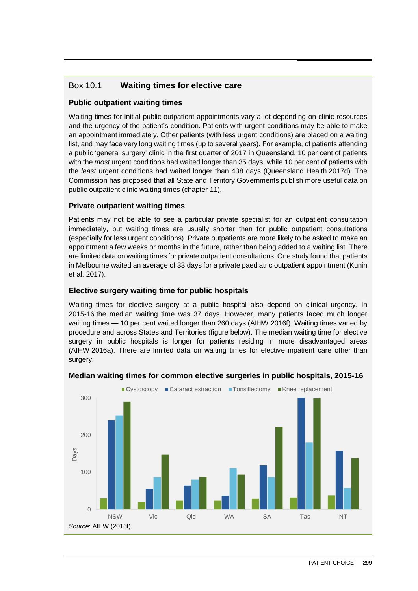## Box 10.1 **Waiting times for elective care**

#### **Public outpatient waiting times**

Waiting times for initial public outpatient appointments vary a lot depending on clinic resources and the urgency of the patient's condition. Patients with urgent conditions may be able to make an appointment immediately. Other patients (with less urgent conditions) are placed on a waiting list, and may face very long waiting times (up to several years). For example, of patients attending a public 'general surgery' clinic in the first quarter of 2017 in Queensland, 10 per cent of patients with the *most* urgent conditions had waited longer than 35 days, while 10 per cent of patients with the *least* urgent conditions had waited longer than 438 days (Queensland Health 2017d). The Commission has proposed that all State and Territory Governments publish more useful data on public outpatient clinic waiting times (chapter 11).

#### **Private outpatient waiting times**

Patients may not be able to see a particular private specialist for an outpatient consultation immediately, but waiting times are usually shorter than for public outpatient consultations (especially for less urgent conditions). Private outpatients are more likely to be asked to make an appointment a few weeks or months in the future, rather than being added to a waiting list. There are limited data on waiting times for private outpatient consultations. One study found that patients in Melbourne waited an average of 33 days for a private paediatric outpatient appointment (Kunin et al. 2017).

#### **Elective surgery waiting time for public hospitals**

Waiting times for elective surgery at a public hospital also depend on clinical urgency. In 2015-16 the median waiting time was 37 days. However, many patients faced much longer waiting times — 10 per cent waited longer than 260 days (AIHW 2016f). Waiting times varied by procedure and across States and Territories (figure below). The median waiting time for elective surgery in public hospitals is longer for patients residing in more disadvantaged areas (AIHW 2016a). There are limited data on waiting times for elective inpatient care other than surgery.



#### **Median waiting times for common elective surgeries in public hospitals, 2015-16**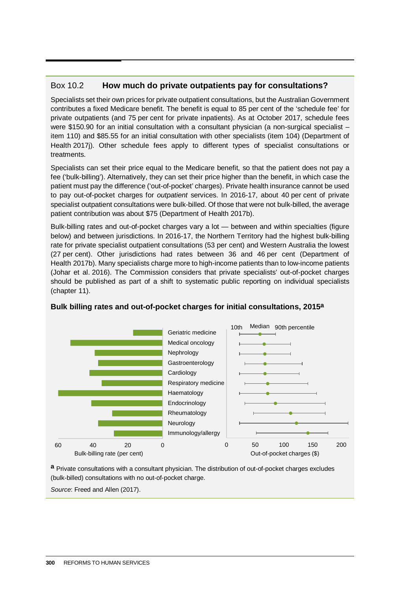#### Box 10.2 **How much do private outpatients pay for consultations?**

Specialists set their own prices for private outpatient consultations, but the Australian Government contributes a fixed Medicare benefit. The benefit is equal to 85 per cent of the 'schedule fee' for private outpatients (and 75 per cent for private inpatients). As at October 2017, schedule fees were \$150.90 for an initial consultation with a consultant physician (a non-surgical specialist – item 110) and \$85.55 for an initial consultation with other specialists (item 104) (Department of Health 2017j). Other schedule fees apply to different types of specialist consultations or treatments.

Specialists can set their price equal to the Medicare benefit, so that the patient does not pay a fee ('bulk-billing'). Alternatively, they can set their price higher than the benefit, in which case the patient must pay the difference ('out-of-pocket' charges). Private health insurance cannot be used to pay out-of-pocket charges for *outpatient* services. In 2016-17, about 40 per cent of private specialist outpatient consultations were bulk-billed. Of those that were not bulk-billed, the average patient contribution was about \$75 (Department of Health 2017b).

Bulk-billing rates and out-of-pocket charges vary a lot — between and within specialties (figure below) and between jurisdictions. In 2016-17, the Northern Territory had the highest bulk-billing rate for private specialist outpatient consultations (53 per cent) and Western Australia the lowest (27 per cent). Other jurisdictions had rates between 36 and 46 per cent (Department of Health 2017b). Many specialists charge more to high-income patients than to low-income patients (Johar et al. 2016). The Commission considers that private specialists' out-of-pocket charges should be published as part of a shift to systematic public reporting on individual specialists (chapter 11).



#### **Bulk billing rates and out-of-pocket charges for initial consultations, 2015a**

**a** Private consultations with a consultant physician. The distribution of out-of-pocket charges excludes (bulk-billed) consultations with no out-of-pocket charge.

*Source*: Freed and Allen (2017).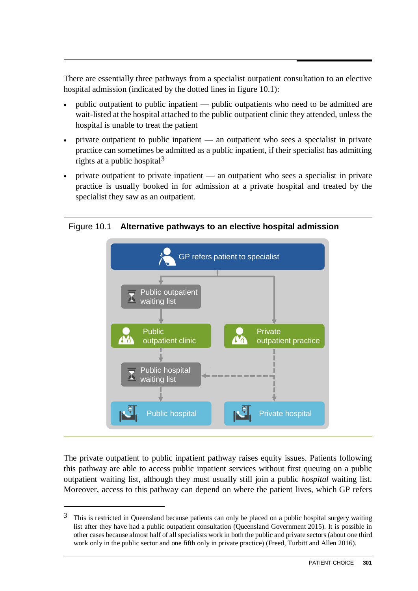There are essentially three pathways from a specialist outpatient consultation to an elective hospital admission (indicated by the dotted lines in figure 10.1):

- public outpatient to public inpatient public outpatients who need to be admitted are wait-listed at the hospital attached to the public outpatient clinic they attended, unless the hospital is unable to treat the patient
- private outpatient to public inpatient an outpatient who sees a specialist in private practice can sometimes be admitted as a public inpatient, if their specialist has admitting rights at a public hospital<sup>3</sup>
- private outpatient to private inpatient an outpatient who sees a specialist in private practice is usually booked in for admission at a private hospital and treated by the specialist they saw as an outpatient.

Figure 10.1 **Alternative pathways to an elective hospital admission**



The private outpatient to public inpatient pathway raises equity issues. Patients following this pathway are able to access public inpatient services without first queuing on a public outpatient waiting list, although they must usually still join a public *hospital* waiting list. Moreover, access to this pathway can depend on where the patient lives, which GP refers

 $\overline{a}$ 

<span id="page-6-0"></span><sup>&</sup>lt;sup>3</sup> This is restricted in Queensland because patients can only be placed on a public hospital surgery waiting list after they have had a public outpatient consultation (Queensland Government 2015). It is possible in other cases because almost half of all specialists work in both the public and private sectors (about one third work only in the public sector and one fifth only in private practice) (Freed, Turbitt and Allen 2016).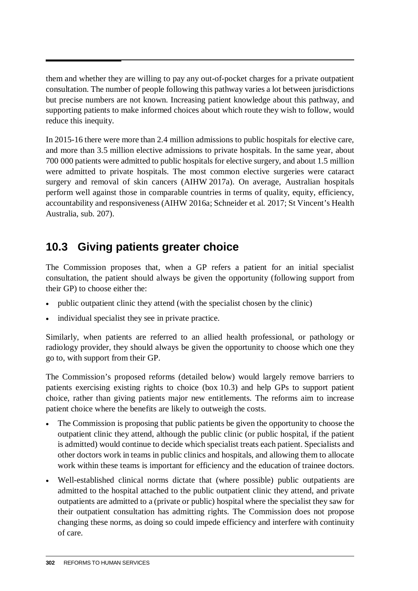them and whether they are willing to pay any out-of-pocket charges for a private outpatient consultation. The number of people following this pathway varies a lot between jurisdictions but precise numbers are not known. Increasing patient knowledge about this pathway, and supporting patients to make informed choices about which route they wish to follow, would reduce this inequity.

In 2015-16 there were more than 2.4 million admissions to public hospitals for elective care, and more than 3.5 million elective admissions to private hospitals. In the same year, about 700 000 patients were admitted to public hospitals for elective surgery, and about 1.5 million were admitted to private hospitals. The most common elective surgeries were cataract surgery and removal of skin cancers (AIHW 2017a). On average, Australian hospitals perform well against those in comparable countries in terms of quality, equity, efficiency, accountability and responsiveness (AIHW 2016a; Schneider et al. 2017; St Vincent's Health Australia, sub. 207).

# **10.3 Giving patients greater choice**

The Commission proposes that, when a GP refers a patient for an initial specialist consultation, the patient should always be given the opportunity (following support from their GP) to choose either the:

- public outpatient clinic they attend (with the specialist chosen by the clinic)
- individual specialist they see in private practice.

Similarly, when patients are referred to an allied health professional, or pathology or radiology provider, they should always be given the opportunity to choose which one they go to, with support from their GP.

The Commission's proposed reforms (detailed below) would largely remove barriers to patients exercising existing rights to choice (box 10.3) and help GPs to support patient choice, rather than giving patients major new entitlements. The reforms aim to increase patient choice where the benefits are likely to outweigh the costs.

- The Commission is proposing that public patients be given the opportunity to choose the outpatient clinic they attend, although the public clinic (or public hospital, if the patient is admitted) would continue to decide which specialist treats each patient. Specialists and other doctors work in teams in public clinics and hospitals, and allowing them to allocate work within these teams is important for efficiency and the education of trainee doctors.
- Well-established clinical norms dictate that (where possible) public outpatients are admitted to the hospital attached to the public outpatient clinic they attend, and private outpatients are admitted to a (private or public) hospital where the specialist they saw for their outpatient consultation has admitting rights. The Commission does not propose changing these norms, as doing so could impede efficiency and interfere with continuity of care.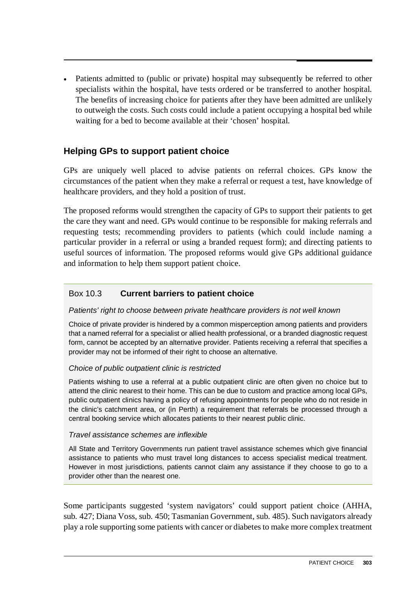• Patients admitted to (public or private) hospital may subsequently be referred to other specialists within the hospital, have tests ordered or be transferred to another hospital. The benefits of increasing choice for patients after they have been admitted are unlikely to outweigh the costs. Such costs could include a patient occupying a hospital bed while waiting for a bed to become available at their 'chosen' hospital.

# **Helping GPs to support patient choice**

GPs are uniquely well placed to advise patients on referral choices. GPs know the circumstances of the patient when they make a referral or request a test, have knowledge of healthcare providers, and they hold a position of trust.

The proposed reforms would strengthen the capacity of GPs to support their patients to get the care they want and need. GPs would continue to be responsible for making referrals and requesting tests; recommending providers to patients (which could include naming a particular provider in a referral or using a branded request form); and directing patients to useful sources of information. The proposed reforms would give GPs additional guidance and information to help them support patient choice.

#### Box 10.3 **Current barriers to patient choice**

#### *Patients' right to choose between private healthcare providers is not well known*

Choice of private provider is hindered by a common misperception among patients and providers that a named referral for a specialist or allied health professional, or a branded diagnostic request form, cannot be accepted by an alternative provider. Patients receiving a referral that specifies a provider may not be informed of their right to choose an alternative.

#### *Choice of public outpatient clinic is restricted*

Patients wishing to use a referral at a public outpatient clinic are often given no choice but to attend the clinic nearest to their home. This can be due to custom and practice among local GPs, public outpatient clinics having a policy of refusing appointments for people who do not reside in the clinic's catchment area, or (in Perth) a requirement that referrals be processed through a central booking service which allocates patients to their nearest public clinic.

#### *Travel assistance schemes are inflexible*

All State and Territory Governments run patient travel assistance schemes which give financial assistance to patients who must travel long distances to access specialist medical treatment. However in most jurisdictions, patients cannot claim any assistance if they choose to go to a provider other than the nearest one.

Some participants suggested 'system navigators' could support patient choice (AHHA, sub. 427; Diana Voss, sub. 450; Tasmanian Government, sub. 485). Such navigators already play a role supporting some patients with cancer or diabetes to make more complex treatment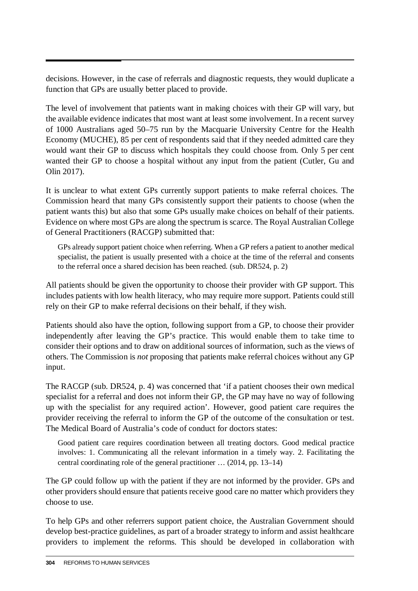decisions. However, in the case of referrals and diagnostic requests, they would duplicate a function that GPs are usually better placed to provide.

The level of involvement that patients want in making choices with their GP will vary, but the available evidence indicates that most want at least some involvement. In a recent survey of 1000 Australians aged 50–75 run by the Macquarie University Centre for the Health Economy (MUCHE), 85 per cent of respondents said that if they needed admitted care they would want their GP to discuss which hospitals they could choose from. Only 5 per cent wanted their GP to choose a hospital without any input from the patient (Cutler, Gu and Olin 2017).

It is unclear to what extent GPs currently support patients to make referral choices. The Commission heard that many GPs consistently support their patients to choose (when the patient wants this) but also that some GPs usually make choices on behalf of their patients. Evidence on where most GPs are along the spectrum is scarce. The Royal Australian College of General Practitioners (RACGP) submitted that:

GPs already support patient choice when referring. When a GP refers a patient to another medical specialist, the patient is usually presented with a choice at the time of the referral and consents to the referral once a shared decision has been reached. (sub. DR524, p. 2)

All patients should be given the opportunity to choose their provider with GP support. This includes patients with low health literacy, who may require more support. Patients could still rely on their GP to make referral decisions on their behalf, if they wish.

Patients should also have the option, following support from a GP, to choose their provider independently after leaving the GP's practice. This would enable them to take time to consider their options and to draw on additional sources of information, such as the views of others. The Commission is *not* proposing that patients make referral choices without any GP input.

The RACGP (sub. DR524, p. 4) was concerned that 'if a patient chooses their own medical specialist for a referral and does not inform their GP, the GP may have no way of following up with the specialist for any required action'. However, good patient care requires the provider receiving the referral to inform the GP of the outcome of the consultation or test. The Medical Board of Australia's code of conduct for doctors states:

Good patient care requires coordination between all treating doctors. Good medical practice involves: 1. Communicating all the relevant information in a timely way. 2. Facilitating the central coordinating role of the general practitioner … (2014, pp. 13–14)

The GP could follow up with the patient if they are not informed by the provider. GPs and other providers should ensure that patients receive good care no matter which providers they choose to use.

To help GPs and other referrers support patient choice, the Australian Government should develop best-practice guidelines, as part of a broader strategy to inform and assist healthcare providers to implement the reforms. This should be developed in collaboration with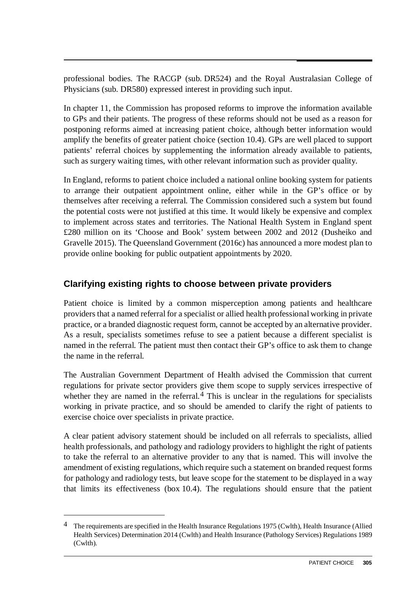professional bodies. The RACGP (sub. DR524) and the Royal Australasian College of Physicians (sub. DR580) expressed interest in providing such input.

In chapter 11, the Commission has proposed reforms to improve the information available to GPs and their patients. The progress of these reforms should not be used as a reason for postponing reforms aimed at increasing patient choice, although better information would amplify the benefits of greater patient choice (section 10.4). GPs are well placed to support patients' referral choices by supplementing the information already available to patients, such as surgery waiting times, with other relevant information such as provider quality.

In England, reforms to patient choice included a national online booking system for patients to arrange their outpatient appointment online, either while in the GP's office or by themselves after receiving a referral. The Commission considered such a system but found the potential costs were not justified at this time. It would likely be expensive and complex to implement across states and territories. The National Health System in England spent £280 million on its 'Choose and Book' system between 2002 and 2012 (Dusheiko and Gravelle 2015). The Queensland Government (2016c) has announced a more modest plan to provide online booking for public outpatient appointments by 2020.

# **Clarifying existing rights to choose between private providers**

Patient choice is limited by a common misperception among patients and healthcare providers that a named referral for a specialist or allied health professional working in private practice, or a branded diagnostic request form, cannot be accepted by an alternative provider. As a result, specialists sometimes refuse to see a patient because a different specialist is named in the referral. The patient must then contact their GP's office to ask them to change the name in the referral.

The Australian Government Department of Health advised the Commission that current regulations for private sector providers give them scope to supply services irrespective of whether they are named in the referral.<sup>[4](#page-10-0)</sup> This is unclear in the regulations for specialists working in private practice, and so should be amended to clarify the right of patients to exercise choice over specialists in private practice.

A clear patient advisory statement should be included on all referrals to specialists, allied health professionals, and pathology and radiology providers to highlight the right of patients to take the referral to an alternative provider to any that is named. This will involve the amendment of existing regulations, which require such a statement on branded request forms for pathology and radiology tests, but leave scope for the statement to be displayed in a way that limits its effectiveness (box 10.4). The regulations should ensure that the patient

 $\overline{a}$ 

<span id="page-10-0"></span><sup>4</sup> The requirements are specified in the Health Insurance Regulations 1975 (Cwlth), Health Insurance (Allied Health Services) Determination 2014 (Cwlth) and Health Insurance (Pathology Services) Regulations 1989 (Cwlth).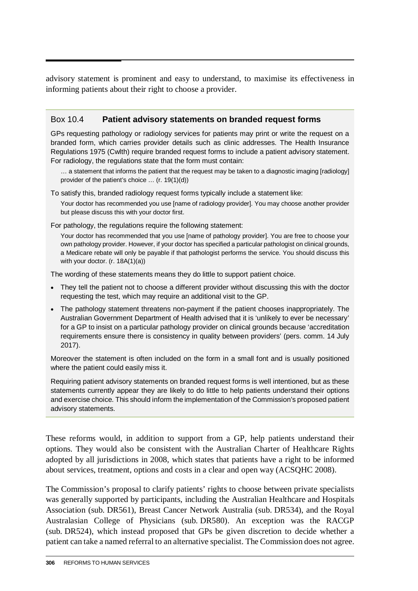advisory statement is prominent and easy to understand, to maximise its effectiveness in informing patients about their right to choose a provider.

### Box 10.4 **Patient advisory statements on branded request forms**

GPs requesting pathology or radiology services for patients may print or write the request on a branded form, which carries provider details such as clinic addresses. The Health Insurance Regulations 1975 (Cwlth) require branded request forms to include a patient advisory statement. For radiology, the regulations state that the form must contain:

… a statement that informs the patient that the request may be taken to a diagnostic imaging [radiology] provider of the patient's choice … (r. 19(1)(d))

To satisfy this, branded radiology request forms typically include a statement like:

Your doctor has recommended you use [name of radiology provider]. You may choose another provider but please discuss this with your doctor first.

For pathology, the regulations require the following statement:

Your doctor has recommended that you use [name of pathology provider]. You are free to choose your own pathology provider. However, if your doctor has specified a particular pathologist on clinical grounds, a Medicare rebate will only be payable if that pathologist performs the service. You should discuss this with your doctor. (r. 18A(1)(a))

The wording of these statements means they do little to support patient choice.

- They tell the patient not to choose a different provider without discussing this with the doctor requesting the test, which may require an additional visit to the GP.
- The pathology statement threatens non-payment if the patient chooses inappropriately. The Australian Government Department of Health advised that it is 'unlikely to ever be necessary' for a GP to insist on a particular pathology provider on clinical grounds because 'accreditation requirements ensure there is consistency in quality between providers' (pers. comm. 14 July 2017).

Moreover the statement is often included on the form in a small font and is usually positioned where the patient could easily miss it.

Requiring patient advisory statements on branded request forms is well intentioned, but as these statements currently appear they are likely to do little to help patients understand their options and exercise choice. This should inform the implementation of the Commission's proposed patient advisory statements.

These reforms would, in addition to support from a GP, help patients understand their options. They would also be consistent with the Australian Charter of Healthcare Rights adopted by all jurisdictions in 2008, which states that patients have a right to be informed about services, treatment, options and costs in a clear and open way (ACSQHC 2008).

The Commission's proposal to clarify patients' rights to choose between private specialists was generally supported by participants, including the Australian Healthcare and Hospitals Association (sub. DR561), Breast Cancer Network Australia (sub. DR534), and the Royal Australasian College of Physicians (sub. DR580). An exception was the RACGP (sub. DR524), which instead proposed that GPs be given discretion to decide whether a patient can take a named referral to an alternative specialist. The Commission does not agree.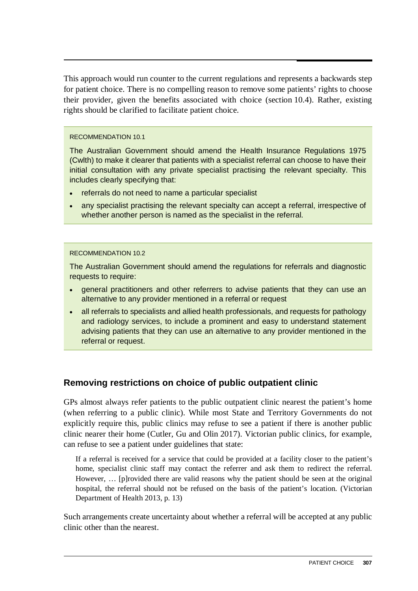This approach would run counter to the current regulations and represents a backwards step for patient choice. There is no compelling reason to remove some patients' rights to choose their provider, given the benefits associated with choice (section 10.4). Rather, existing rights should be clarified to facilitate patient choice.

#### RECOMMENDATION 10.1

The Australian Government should amend the Health Insurance Regulations 1975 (Cwlth) to make it clearer that patients with a specialist referral can choose to have their initial consultation with any private specialist practising the relevant specialty. This includes clearly specifying that:

- referrals do not need to name a particular specialist
- any specialist practising the relevant specialty can accept a referral, irrespective of whether another person is named as the specialist in the referral.

#### RECOMMENDATION 10.2

The Australian Government should amend the regulations for referrals and diagnostic requests to require:

- general practitioners and other referrers to advise patients that they can use an alternative to any provider mentioned in a referral or request
- all referrals to specialists and allied health professionals, and requests for pathology and radiology services, to include a prominent and easy to understand statement advising patients that they can use an alternative to any provider mentioned in the referral or request.

### **Removing restrictions on choice of public outpatient clinic**

GPs almost always refer patients to the public outpatient clinic nearest the patient's home (when referring to a public clinic). While most State and Territory Governments do not explicitly require this, public clinics may refuse to see a patient if there is another public clinic nearer their home (Cutler, Gu and Olin 2017). Victorian public clinics, for example, can refuse to see a patient under guidelines that state:

If a referral is received for a service that could be provided at a facility closer to the patient's home, specialist clinic staff may contact the referrer and ask them to redirect the referral. However, … [p]rovided there are valid reasons why the patient should be seen at the original hospital, the referral should not be refused on the basis of the patient's location. (Victorian Department of Health 2013, p. 13)

Such arrangements create uncertainty about whether a referral will be accepted at any public clinic other than the nearest.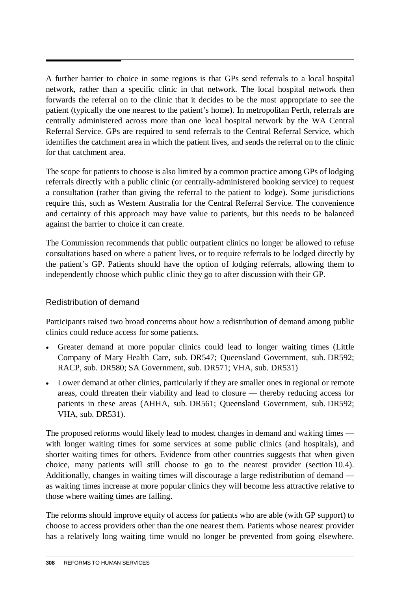A further barrier to choice in some regions is that GPs send referrals to a local hospital network, rather than a specific clinic in that network. The local hospital network then forwards the referral on to the clinic that it decides to be the most appropriate to see the patient (typically the one nearest to the patient's home). In metropolitan Perth, referrals are centrally administered across more than one local hospital network by the WA Central Referral Service. GPs are required to send referrals to the Central Referral Service, which identifies the catchment area in which the patient lives, and sends the referral on to the clinic for that catchment area.

The scope for patients to choose is also limited by a common practice among GPs of lodging referrals directly with a public clinic (or centrally-administered booking service) to request a consultation (rather than giving the referral to the patient to lodge). Some jurisdictions require this, such as Western Australia for the Central Referral Service. The convenience and certainty of this approach may have value to patients, but this needs to be balanced against the barrier to choice it can create.

The Commission recommends that public outpatient clinics no longer be allowed to refuse consultations based on where a patient lives, or to require referrals to be lodged directly by the patient's GP. Patients should have the option of lodging referrals, allowing them to independently choose which public clinic they go to after discussion with their GP.

### Redistribution of demand

Participants raised two broad concerns about how a redistribution of demand among public clinics could reduce access for some patients.

- Greater demand at more popular clinics could lead to longer waiting times (Little Company of Mary Health Care, sub. DR547; Queensland Government, sub. DR592; RACP, sub. DR580; SA Government, sub. DR571; VHA, sub. DR531)
- Lower demand at other clinics, particularly if they are smaller ones in regional or remote areas, could threaten their viability and lead to closure — thereby reducing access for patients in these areas (AHHA, sub. DR561; Queensland Government, sub. DR592; VHA, sub. DR531).

The proposed reforms would likely lead to modest changes in demand and waiting times with longer waiting times for some services at some public clinics (and hospitals), and shorter waiting times for others. Evidence from other countries suggests that when given choice, many patients will still choose to go to the nearest provider (section 10.4). Additionally, changes in waiting times will discourage a large redistribution of demand as waiting times increase at more popular clinics they will become less attractive relative to those where waiting times are falling.

The reforms should improve equity of access for patients who are able (with GP support) to choose to access providers other than the one nearest them. Patients whose nearest provider has a relatively long waiting time would no longer be prevented from going elsewhere.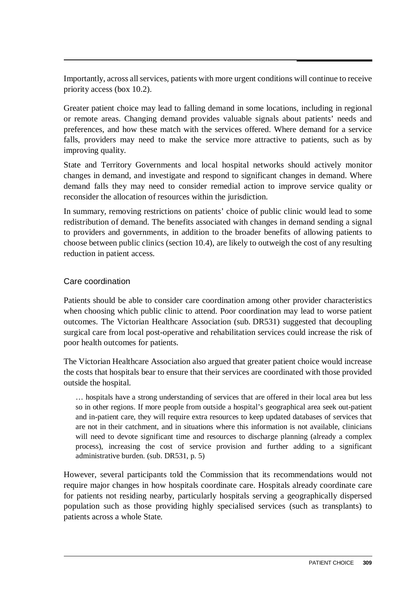Importantly, across all services, patients with more urgent conditions will continue to receive priority access (box 10.2).

Greater patient choice may lead to falling demand in some locations, including in regional or remote areas. Changing demand provides valuable signals about patients' needs and preferences, and how these match with the services offered. Where demand for a service falls, providers may need to make the service more attractive to patients, such as by improving quality.

State and Territory Governments and local hospital networks should actively monitor changes in demand, and investigate and respond to significant changes in demand. Where demand falls they may need to consider remedial action to improve service quality or reconsider the allocation of resources within the jurisdiction.

In summary, removing restrictions on patients' choice of public clinic would lead to some redistribution of demand. The benefits associated with changes in demand sending a signal to providers and governments, in addition to the broader benefits of allowing patients to choose between public clinics (section 10.4), are likely to outweigh the cost of any resulting reduction in patient access.

#### Care coordination

Patients should be able to consider care coordination among other provider characteristics when choosing which public clinic to attend. Poor coordination may lead to worse patient outcomes. The Victorian Healthcare Association (sub. DR531) suggested that decoupling surgical care from local post-operative and rehabilitation services could increase the risk of poor health outcomes for patients.

The Victorian Healthcare Association also argued that greater patient choice would increase the costs that hospitals bear to ensure that their services are coordinated with those provided outside the hospital.

… hospitals have a strong understanding of services that are offered in their local area but less so in other regions. If more people from outside a hospital's geographical area seek out-patient and in-patient care, they will require extra resources to keep updated databases of services that are not in their catchment, and in situations where this information is not available, clinicians will need to devote significant time and resources to discharge planning (already a complex process), increasing the cost of service provision and further adding to a significant administrative burden. (sub. DR531, p. 5)

However, several participants told the Commission that its recommendations would not require major changes in how hospitals coordinate care. Hospitals already coordinate care for patients not residing nearby, particularly hospitals serving a geographically dispersed population such as those providing highly specialised services (such as transplants) to patients across a whole State.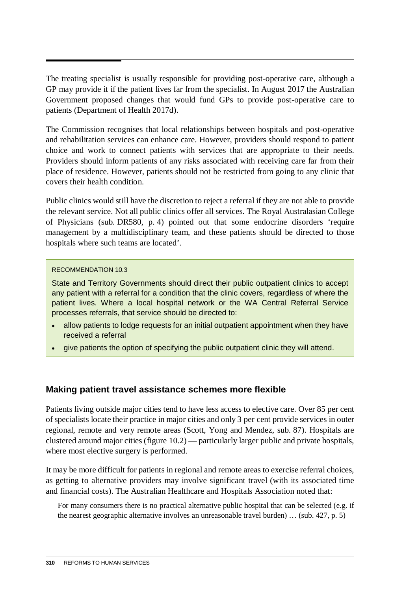The treating specialist is usually responsible for providing post-operative care, although a GP may provide it if the patient lives far from the specialist. In August 2017 the Australian Government proposed changes that would fund GPs to provide post-operative care to patients (Department of Health 2017d).

The Commission recognises that local relationships between hospitals and post-operative and rehabilitation services can enhance care. However, providers should respond to patient choice and work to connect patients with services that are appropriate to their needs. Providers should inform patients of any risks associated with receiving care far from their place of residence. However, patients should not be restricted from going to any clinic that covers their health condition.

Public clinics would still have the discretion to reject a referral if they are not able to provide the relevant service. Not all public clinics offer all services. The Royal Australasian College of Physicians (sub. DR580, p. 4) pointed out that some endocrine disorders 'require management by a multidisciplinary team, and these patients should be directed to those hospitals where such teams are located'.

#### RECOMMENDATION 10.3

State and Territory Governments should direct their public outpatient clinics to accept any patient with a referral for a condition that the clinic covers, regardless of where the patient lives. Where a local hospital network or the WA Central Referral Service processes referrals, that service should be directed to:

- allow patients to lodge requests for an initial outpatient appointment when they have received a referral
- give patients the option of specifying the public outpatient clinic they will attend.

#### **Making patient travel assistance schemes more flexible**

Patients living outside major cities tend to have less access to elective care. Over 85 per cent of specialists locate their practice in major cities and only 3 per cent provide services in outer regional, remote and very remote areas (Scott, Yong and Mendez, sub. 87). Hospitals are clustered around major cities (figure 10.2) — particularly larger public and private hospitals, where most elective surgery is performed.

It may be more difficult for patients in regional and remote areas to exercise referral choices, as getting to alternative providers may involve significant travel (with its associated time and financial costs). The Australian Healthcare and Hospitals Association noted that:

For many consumers there is no practical alternative public hospital that can be selected (e.g. if the nearest geographic alternative involves an unreasonable travel burden) … (sub. 427, p. 5)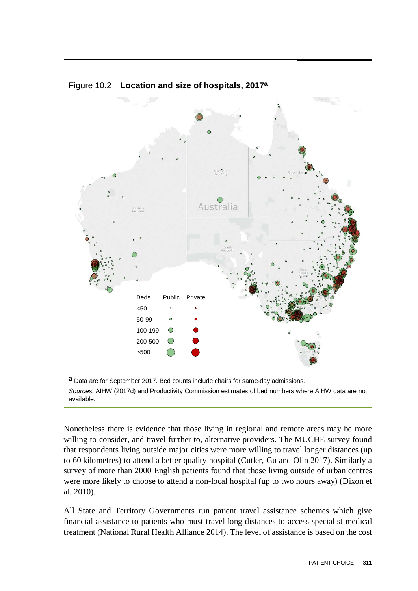

#### Figure 10.2 **Location and size of hospitals, 2017a**

**a** Data are for September 2017. Bed counts include chairs for same-day admissions. *Sources*: AIHW (2017d) and Productivity Commission estimates of bed numbers where AIHW data are not available.

Nonetheless there is evidence that those living in regional and remote areas may be more willing to consider, and travel further to, alternative providers. The MUCHE survey found that respondents living outside major cities were more willing to travel longer distances (up to 60 kilometres) to attend a better quality hospital (Cutler, Gu and Olin 2017). Similarly a survey of more than 2000 English patients found that those living outside of urban centres were more likely to choose to attend a non-local hospital (up to two hours away) (Dixon et al. 2010).

All State and Territory Governments run patient travel assistance schemes which give financial assistance to patients who must travel long distances to access specialist medical treatment (National Rural Health Alliance 2014). The level of assistance is based on the cost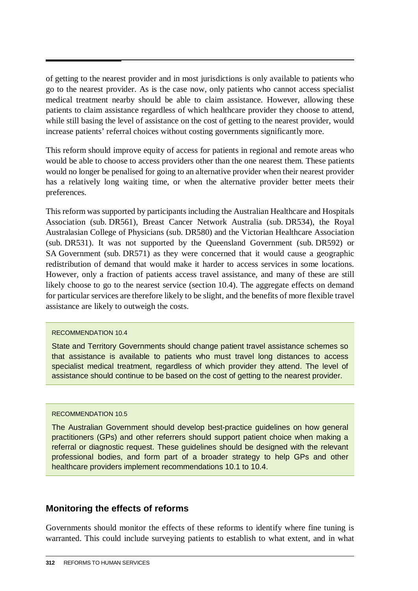of getting to the nearest provider and in most jurisdictions is only available to patients who go to the nearest provider. As is the case now, only patients who cannot access specialist medical treatment nearby should be able to claim assistance. However, allowing these patients to claim assistance regardless of which healthcare provider they choose to attend, while still basing the level of assistance on the cost of getting to the nearest provider, would increase patients' referral choices without costing governments significantly more.

This reform should improve equity of access for patients in regional and remote areas who would be able to choose to access providers other than the one nearest them. These patients would no longer be penalised for going to an alternative provider when their nearest provider has a relatively long waiting time, or when the alternative provider better meets their preferences.

This reform was supported by participants including the Australian Healthcare and Hospitals Association (sub. DR561), Breast Cancer Network Australia (sub. DR534), the Royal Australasian College of Physicians (sub. DR580) and the Victorian Healthcare Association (sub. DR531). It was not supported by the Queensland Government (sub. DR592) or SA Government (sub. DR571) as they were concerned that it would cause a geographic redistribution of demand that would make it harder to access services in some locations. However, only a fraction of patients access travel assistance, and many of these are still likely choose to go to the nearest service (section 10.4). The aggregate effects on demand for particular services are therefore likely to be slight, and the benefits of more flexible travel assistance are likely to outweigh the costs.

#### RECOMMENDATION 10.4

State and Territory Governments should change patient travel assistance schemes so that assistance is available to patients who must travel long distances to access specialist medical treatment, regardless of which provider they attend. The level of assistance should continue to be based on the cost of getting to the nearest provider.

#### RECOMMENDATION 10.5

The Australian Government should develop best-practice guidelines on how general practitioners (GPs) and other referrers should support patient choice when making a referral or diagnostic request. These guidelines should be designed with the relevant professional bodies, and form part of a broader strategy to help GPs and other healthcare providers implement recommendations 10.1 to 10.4.

### **Monitoring the effects of reforms**

Governments should monitor the effects of these reforms to identify where fine tuning is warranted. This could include surveying patients to establish to what extent, and in what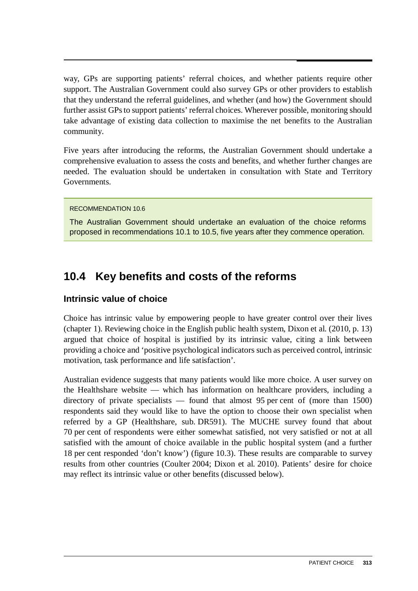way, GPs are supporting patients' referral choices, and whether patients require other support. The Australian Government could also survey GPs or other providers to establish that they understand the referral guidelines, and whether (and how) the Government should further assist GPs to support patients' referral choices. Wherever possible, monitoring should take advantage of existing data collection to maximise the net benefits to the Australian community.

Five years after introducing the reforms, the Australian Government should undertake a comprehensive evaluation to assess the costs and benefits, and whether further changes are needed. The evaluation should be undertaken in consultation with State and Territory Governments.

#### RECOMMENDATION 10.6

The Australian Government should undertake an evaluation of the choice reforms proposed in recommendations 10.1 to 10.5, five years after they commence operation.

# **10.4 Key benefits and costs of the reforms**

## **Intrinsic value of choice**

Choice has intrinsic value by empowering people to have greater control over their lives (chapter 1). Reviewing choice in the English public health system, Dixon et al. (2010, p. 13) argued that choice of hospital is justified by its intrinsic value, citing a link between providing a choice and 'positive psychological indicators such as perceived control, intrinsic motivation, task performance and life satisfaction'.

Australian evidence suggests that many patients would like more choice. A user survey on the Healthshare website — which has information on healthcare providers, including a directory of private specialists — found that almost 95 per cent of (more than 1500) respondents said they would like to have the option to choose their own specialist when referred by a GP (Healthshare, sub. DR591). The MUCHE survey found that about 70 per cent of respondents were either somewhat satisfied, not very satisfied or not at all satisfied with the amount of choice available in the public hospital system (and a further 18 per cent responded 'don't know') (figure 10.3). These results are comparable to survey results from other countries (Coulter 2004; Dixon et al. 2010). Patients' desire for choice may reflect its intrinsic value or other benefits (discussed below).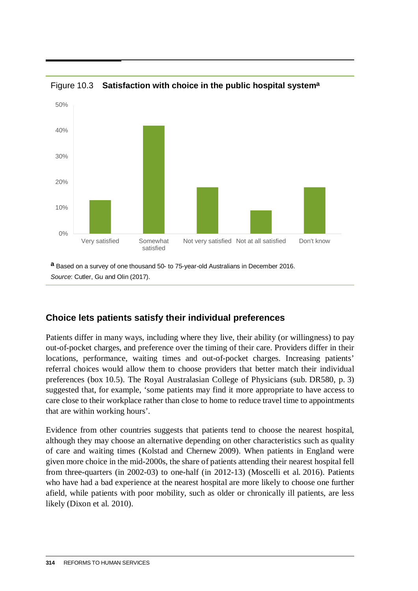

Figure 10.3 **Satisfaction with choice in the public hospital systema**

**a** Based on a survey of one thousand 50- to 75-year-old Australians in December 2016. *Source*: Cutler, Gu and Olin (2017).

# **Choice lets patients satisfy their individual preferences**

Patients differ in many ways, including where they live, their ability (or willingness) to pay out-of-pocket charges, and preference over the timing of their care. Providers differ in their locations, performance, waiting times and out-of-pocket charges. Increasing patients' referral choices would allow them to choose providers that better match their individual preferences (box 10.5). The Royal Australasian College of Physicians (sub. DR580, p. 3) suggested that, for example, 'some patients may find it more appropriate to have access to care close to their workplace rather than close to home to reduce travel time to appointments that are within working hours'.

Evidence from other countries suggests that patients tend to choose the nearest hospital, although they may choose an alternative depending on other characteristics such as quality of care and waiting times (Kolstad and Chernew 2009). When patients in England were given more choice in the mid-2000s, the share of patients attending their nearest hospital fell from three-quarters (in 2002-03) to one-half (in 2012-13) (Moscelli et al. 2016). Patients who have had a bad experience at the nearest hospital are more likely to choose one further afield, while patients with poor mobility, such as older or chronically ill patients, are less likely (Dixon et al. 2010).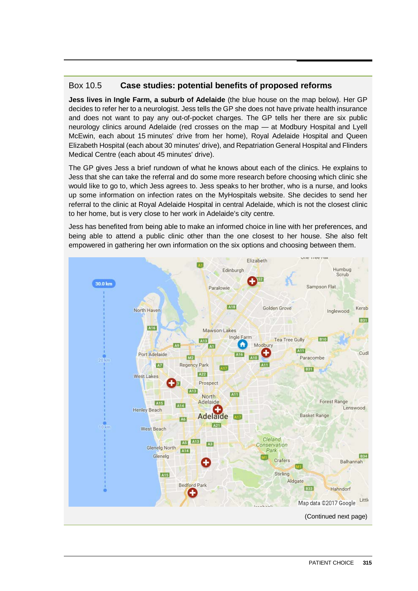#### Box 10.5 **Case studies: potential benefits of proposed reforms**

**Jess lives in Ingle Farm, a suburb of Adelaide** (the blue house on the map below). Her GP decides to refer her to a neurologist. Jess tells the GP she does not have private health insurance and does not want to pay any out-of-pocket charges. The GP tells her there are six public neurology clinics around Adelaide (red crosses on the map — at Modbury Hospital and Lyell McEwin, each about 15 minutes' drive from her home), Royal Adelaide Hospital and Queen Elizabeth Hospital (each about 30 minutes' drive), and Repatriation General Hospital and Flinders Medical Centre (each about 45 minutes' drive).

The GP gives Jess a brief rundown of what he knows about each of the clinics. He explains to Jess that she can take the referral and do some more research before choosing which clinic she would like to go to, which Jess agrees to. Jess speaks to her brother, who is a nurse, and looks up some information on infection rates on the MyHospitals website. She decides to send her referral to the clinic at Royal Adelaide Hospital in central Adelaide, which is not the closest clinic to her home, but is very close to her work in Adelaide's city centre.

Jess has benefited from being able to make an informed choice in line with her preferences, and being able to attend a public clinic other than the one closest to her house. She also felt empowered in gathering her own information on the six options and choosing between them.

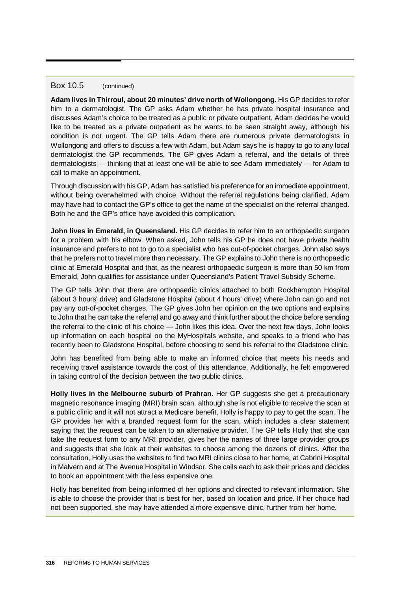#### Box 10.5 (continued)

**Adam lives in Thirroul, about 20 minutes' drive north of Wollongong.** His GP decides to refer him to a dermatologist. The GP asks Adam whether he has private hospital insurance and discusses Adam's choice to be treated as a public or private outpatient. Adam decides he would like to be treated as a private outpatient as he wants to be seen straight away, although his condition is not urgent. The GP tells Adam there are numerous private dermatologists in Wollongong and offers to discuss a few with Adam, but Adam says he is happy to go to any local dermatologist the GP recommends. The GP gives Adam a referral, and the details of three dermatologists — thinking that at least one will be able to see Adam immediately — for Adam to call to make an appointment.

Through discussion with his GP, Adam has satisfied his preference for an immediate appointment, without being overwhelmed with choice. Without the referral regulations being clarified, Adam may have had to contact the GP's office to get the name of the specialist on the referral changed. Both he and the GP's office have avoided this complication.

**John lives in Emerald, in Queensland.** His GP decides to refer him to an orthopaedic surgeon for a problem with his elbow. When asked, John tells his GP he does not have private health insurance and prefers to not to go to a specialist who has out-of-pocket charges. John also says that he prefers not to travel more than necessary. The GP explains to John there is no orthopaedic clinic at Emerald Hospital and that, as the nearest orthopaedic surgeon is more than 50 km from Emerald, John qualifies for assistance under Queensland's Patient Travel Subsidy Scheme.

The GP tells John that there are orthopaedic clinics attached to both Rockhampton Hospital (about 3 hours' drive) and Gladstone Hospital (about 4 hours' drive) where John can go and not pay any out-of-pocket charges. The GP gives John her opinion on the two options and explains to John that he can take the referral and go away and think further about the choice before sending the referral to the clinic of his choice — John likes this idea. Over the next few days, John looks up information on each hospital on the MyHospitals website, and speaks to a friend who has recently been to Gladstone Hospital, before choosing to send his referral to the Gladstone clinic.

John has benefited from being able to make an informed choice that meets his needs and receiving travel assistance towards the cost of this attendance. Additionally, he felt empowered in taking control of the decision between the two public clinics.

**Holly lives in the Melbourne suburb of Prahran.** Her GP suggests she get a precautionary magnetic resonance imaging (MRI) brain scan, although she is not eligible to receive the scan at a public clinic and it will not attract a Medicare benefit. Holly is happy to pay to get the scan. The GP provides her with a branded request form for the scan, which includes a clear statement saying that the request can be taken to an alternative provider. The GP tells Holly that she can take the request form to any MRI provider, gives her the names of three large provider groups and suggests that she look at their websites to choose among the dozens of clinics. After the consultation, Holly uses the websites to find two MRI clinics close to her home, at Cabrini Hospital in Malvern and at The Avenue Hospital in Windsor. She calls each to ask their prices and decides to book an appointment with the less expensive one.

Holly has benefited from being informed of her options and directed to relevant information. She is able to choose the provider that is best for her, based on location and price. If her choice had not been supported, she may have attended a more expensive clinic, further from her home.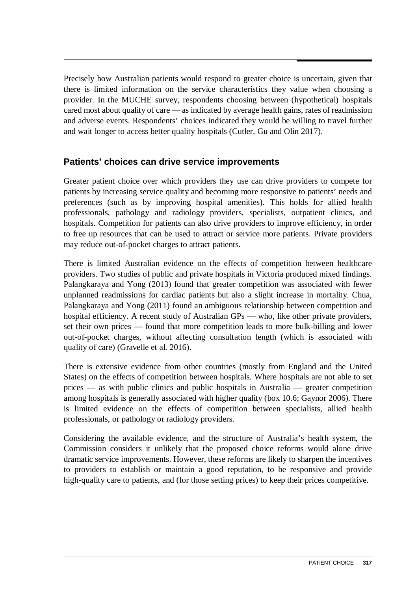Precisely how Australian patients would respond to greater choice is uncertain, given that there is limited information on the service characteristics they value when choosing a provider. In the MUCHE survey, respondents choosing between (hypothetical) hospitals cared most about quality of care — as indicated by average health gains, rates of readmission and adverse events. Respondents' choices indicated they would be willing to travel further and wait longer to access better quality hospitals (Cutler, Gu and Olin 2017).

## **Patients' choices can drive service improvements**

Greater patient choice over which providers they use can drive providers to compete for patients by increasing service quality and becoming more responsive to patients' needs and preferences (such as by improving hospital amenities). This holds for allied health professionals, pathology and radiology providers, specialists, outpatient clinics, and hospitals. Competition for patients can also drive providers to improve efficiency, in order to free up resources that can be used to attract or service more patients. Private providers may reduce out-of-pocket charges to attract patients.

There is limited Australian evidence on the effects of competition between healthcare providers. Two studies of public and private hospitals in Victoria produced mixed findings. Palangkaraya and Yong (2013) found that greater competition was associated with fewer unplanned readmissions for cardiac patients but also a slight increase in mortality. Chua, Palangkaraya and Yong (2011) found an ambiguous relationship between competition and hospital efficiency. A recent study of Australian GPs — who, like other private providers, set their own prices — found that more competition leads to more bulk-billing and lower out-of-pocket charges, without affecting consultation length (which is associated with quality of care) (Gravelle et al. 2016).

There is extensive evidence from other countries (mostly from England and the United States) on the effects of competition between hospitals. Where hospitals are not able to set prices — as with public clinics and public hospitals in Australia — greater competition among hospitals is generally associated with higher quality (box 10.6; Gaynor 2006). There is limited evidence on the effects of competition between specialists, allied health professionals, or pathology or radiology providers.

Considering the available evidence, and the structure of Australia's health system, the Commission considers it unlikely that the proposed choice reforms would alone drive dramatic service improvements. However, these reforms are likely to sharpen the incentives to providers to establish or maintain a good reputation, to be responsive and provide high-quality care to patients, and (for those setting prices) to keep their prices competitive.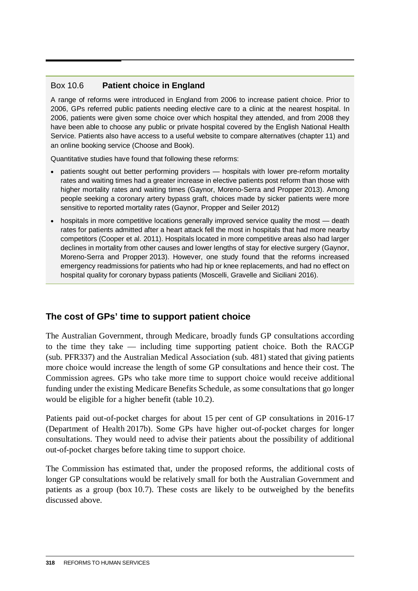## Box 10.6 **Patient choice in England**

A range of reforms were introduced in England from 2006 to increase patient choice. Prior to 2006, GPs referred public patients needing elective care to a clinic at the nearest hospital. In 2006, patients were given some choice over which hospital they attended, and from 2008 they have been able to choose any public or private hospital covered by the English National Health Service. Patients also have access to a useful website to compare alternatives (chapter 11) and an online booking service (Choose and Book).

Quantitative studies have found that following these reforms:

- patients sought out better performing providers hospitals with lower pre-reform mortality rates and waiting times had a greater increase in elective patients post reform than those with higher mortality rates and waiting times (Gaynor, Moreno-Serra and Propper 2013). Among people seeking a coronary artery bypass graft, choices made by sicker patients were more sensitive to reported mortality rates (Gaynor, Propper and Seiler 2012)
- hospitals in more competitive locations generally improved service quality the most death rates for patients admitted after a heart attack fell the most in hospitals that had more nearby competitors (Cooper et al. 2011). Hospitals located in more competitive areas also had larger declines in mortality from other causes and lower lengths of stay for elective surgery (Gaynor, Moreno-Serra and Propper 2013). However, one study found that the reforms increased emergency readmissions for patients who had hip or knee replacements, and had no effect on hospital quality for coronary bypass patients (Moscelli, Gravelle and Siciliani 2016).

# **The cost of GPs' time to support patient choice**

The Australian Government, through Medicare, broadly funds GP consultations according to the time they take — including time supporting patient choice. Both the RACGP (sub. PFR337) and the Australian Medical Association (sub. 481) stated that giving patients more choice would increase the length of some GP consultations and hence their cost. The Commission agrees. GPs who take more time to support choice would receive additional funding under the existing Medicare Benefits Schedule, as some consultations that go longer would be eligible for a higher benefit (table 10.2).

Patients paid out-of-pocket charges for about 15 per cent of GP consultations in 2016-17 (Department of Health 2017b). Some GPs have higher out-of-pocket charges for longer consultations. They would need to advise their patients about the possibility of additional out-of-pocket charges before taking time to support choice.

The Commission has estimated that, under the proposed reforms, the additional costs of longer GP consultations would be relatively small for both the Australian Government and patients as a group (box 10.7). These costs are likely to be outweighed by the benefits discussed above.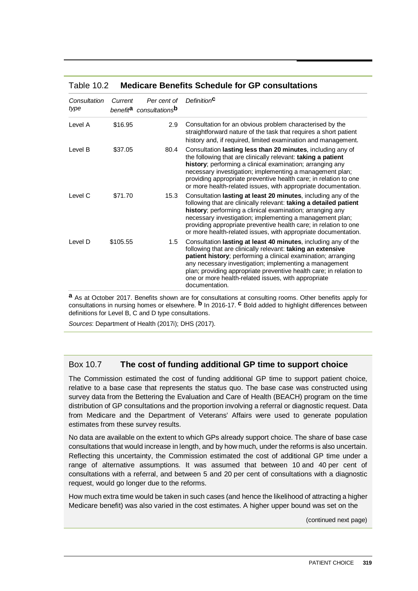#### Table 10.2 **Medicare Benefits Schedule for GP consultations**

| Consultation<br>type | Current  | Per cent of<br>benefit <sup>a</sup> consultations <sup>b</sup> | Definition <sup>C</sup>                                                                                                                                                                                                                                                                                                                                                                                 |
|----------------------|----------|----------------------------------------------------------------|---------------------------------------------------------------------------------------------------------------------------------------------------------------------------------------------------------------------------------------------------------------------------------------------------------------------------------------------------------------------------------------------------------|
| Level A              | \$16.95  | 2.9                                                            | Consultation for an obvious problem characterised by the<br>straightforward nature of the task that requires a short patient<br>history and, if required, limited examination and management.                                                                                                                                                                                                           |
| Level B              | \$37.05  | 80.4                                                           | Consultation lasting less than 20 minutes, including any of<br>the following that are clinically relevant: taking a patient<br>history; performing a clinical examination; arranging any<br>necessary investigation; implementing a management plan;<br>providing appropriate preventive health care; in relation to one<br>or more health-related issues, with appropriate documentation.              |
| Level C              | \$71.70  | 15.3                                                           | Consultation lasting at least 20 minutes, including any of the<br>following that are clinically relevant: taking a detailed patient<br>history; performing a clinical examination; arranging any<br>necessary investigation; implementing a management plan;<br>providing appropriate preventive health care; in relation to one<br>or more health-related issues, with appropriate documentation.      |
| Level D              | \$105.55 | 1.5                                                            | Consultation lasting at least 40 minutes, including any of the<br>following that are clinically relevant: taking an extensive<br>patient history; performing a clinical examination; arranging<br>any necessary investigation; implementing a management<br>plan; providing appropriate preventive health care; in relation to<br>one or more health-related issues, with appropriate<br>documentation. |

**a** As at October 2017. Benefits shown are for consultations at consulting rooms. Other benefits apply for consultations in nursing homes or elsewhere. **b** In 2016-17. **c** Bold added to highlight differences between definitions for Level B, C and D type consultations.

*Sources*: Department of Health (2017i); DHS (2017).

#### Box 10.7 **The cost of funding additional GP time to support choice**

The Commission estimated the cost of funding additional GP time to support patient choice, relative to a base case that represents the status quo. The base case was constructed using survey data from the Bettering the Evaluation and Care of Health (BEACH) program on the time distribution of GP consultations and the proportion involving a referral or diagnostic request. Data from Medicare and the Department of Veterans' Affairs were used to generate population estimates from these survey results.

No data are available on the extent to which GPs already support choice. The share of base case consultations that would increase in length, and by how much, under the reforms is also uncertain. Reflecting this uncertainty, the Commission estimated the cost of additional GP time under a range of alternative assumptions. It was assumed that between 10 and 40 per cent of consultations with a referral, and between 5 and 20 per cent of consultations with a diagnostic request, would go longer due to the reforms.

How much extra time would be taken in such cases (and hence the likelihood of attracting a higher Medicare benefit) was also varied in the cost estimates. A higher upper bound was set on the

(continued next page)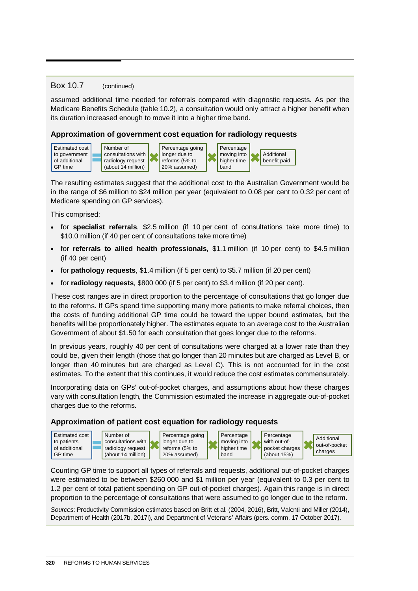#### Box 10.7 (continued)

assumed additional time needed for referrals compared with diagnostic requests. As per the Medicare Benefits Schedule (table 10.2), a consultation would only attract a higher benefit when its duration increased enough to move it into a higher time band.

#### **Approximation of government cost equation for radiology requests**



The resulting estimates suggest that the additional cost to the Australian Government would be in the range of \$6 million to \$24 million per year (equivalent to 0.08 per cent to 0.32 per cent of Medicare spending on GP services).

This comprised:

- for **specialist referrals**, \$2.5 million (if 10 per cent of consultations take more time) to \$10.0 million (if 40 per cent of consultations take more time)
- for **referrals to allied health professionals**, \$1.1 million (if 10 per cent) to \$4.5 million (if 40 per cent)
- for **pathology requests**, \$1.4 million (if 5 per cent) to \$5.7 million (if 20 per cent)
- for **radiology requests**, \$800 000 (if 5 per cent) to \$3.4 million (if 20 per cent).

These cost ranges are in direct proportion to the percentage of consultations that go longer due to the reforms. If GPs spend time supporting many more patients to make referral choices, then the costs of funding additional GP time could be toward the upper bound estimates, but the benefits will be proportionately higher. The estimates equate to an average cost to the Australian Government of about \$1.50 for each consultation that goes longer due to the reforms.

In previous years, roughly 40 per cent of consultations were charged at a lower rate than they could be, given their length (those that go longer than 20 minutes but are charged as Level B, or longer than 40 minutes but are charged as Level C). This is not accounted for in the cost estimates. To the extent that this continues, it would reduce the cost estimates commensurately.

Incorporating data on GPs' out-of-pocket charges, and assumptions about how these charges vary with consultation length, the Commission estimated the increase in aggregate out-of-pocket charges due to the reforms.

#### **Approximation of patient cost equation for radiology requests**



Counting GP time to support all types of referrals and requests, additional out-of-pocket charges were estimated to be between \$260 000 and \$1 million per year (equivalent to 0.3 per cent to 1.2 per cent of total patient spending on GP out-of-pocket charges). Again this range is in direct proportion to the percentage of consultations that were assumed to go longer due to the reform.

*Sources*: Productivity Commission estimates based on Britt et al. (2004, 2016), Britt, Valenti and Miller (2014), Department of Health (2017b, 2017i), and Department of Veterans' Affairs (pers. comm. 17 October 2017).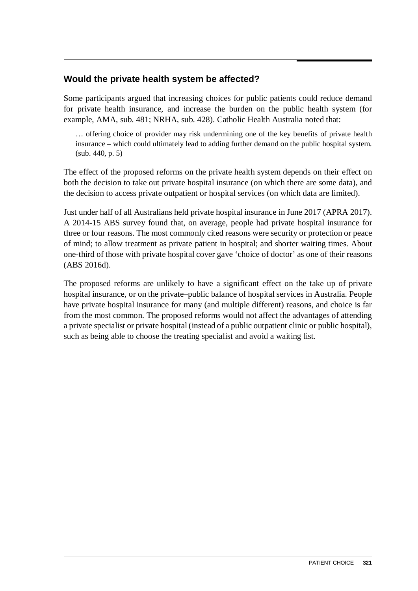# **Would the private health system be affected?**

Some participants argued that increasing choices for public patients could reduce demand for private health insurance, and increase the burden on the public health system (for example, AMA, sub. 481; NRHA, sub. 428). Catholic Health Australia noted that:

… offering choice of provider may risk undermining one of the key benefits of private health insurance – which could ultimately lead to adding further demand on the public hospital system. (sub. 440, p. 5)

The effect of the proposed reforms on the private health system depends on their effect on both the decision to take out private hospital insurance (on which there are some data), and the decision to access private outpatient or hospital services (on which data are limited).

Just under half of all Australians held private hospital insurance in June 2017 (APRA 2017). A 2014-15 ABS survey found that, on average, people had private hospital insurance for three or four reasons. The most commonly cited reasons were security or protection or peace of mind; to allow treatment as private patient in hospital; and shorter waiting times. About one-third of those with private hospital cover gave 'choice of doctor' as one of their reasons (ABS 2016d).

The proposed reforms are unlikely to have a significant effect on the take up of private hospital insurance, or on the private–public balance of hospital services in Australia. People have private hospital insurance for many (and multiple different) reasons, and choice is far from the most common. The proposed reforms would not affect the advantages of attending a private specialist or private hospital (instead of a public outpatient clinic or public hospital), such as being able to choose the treating specialist and avoid a waiting list.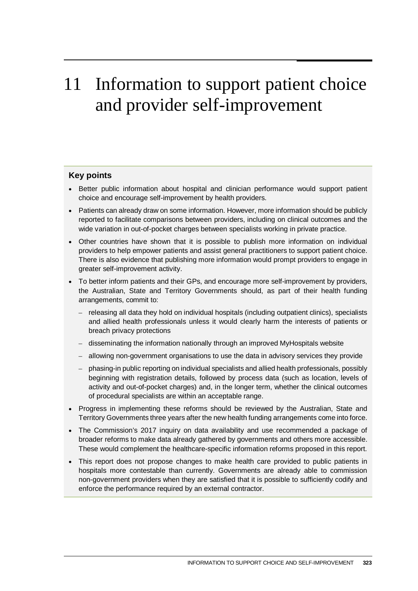# 11 Information to support patient choice and provider self-improvement

#### **Key points**

- Better public information about hospital and clinician performance would support patient choice and encourage self-improvement by health providers.
- Patients can already draw on some information. However, more information should be publicly reported to facilitate comparisons between providers, including on clinical outcomes and the wide variation in out-of-pocket charges between specialists working in private practice.
- Other countries have shown that it is possible to publish more information on individual providers to help empower patients and assist general practitioners to support patient choice. There is also evidence that publishing more information would prompt providers to engage in greater self-improvement activity.
- To better inform patients and their GPs, and encourage more self-improvement by providers, the Australian, State and Territory Governments should, as part of their health funding arrangements, commit to:
	- releasing all data they hold on individual hospitals (including outpatient clinics), specialists and allied health professionals unless it would clearly harm the interests of patients or breach privacy protections
	- disseminating the information nationally through an improved MyHospitals website
	- allowing non-government organisations to use the data in advisory services they provide
	- phasing-in public reporting on individual specialists and allied health professionals, possibly beginning with registration details, followed by process data (such as location, levels of activity and out-of-pocket charges) and, in the longer term, whether the clinical outcomes of procedural specialists are within an acceptable range.
- Progress in implementing these reforms should be reviewed by the Australian, State and Territory Governments three years after the new health funding arrangements come into force.
- The Commission's 2017 inquiry on data availability and use recommended a package of broader reforms to make data already gathered by governments and others more accessible. These would complement the healthcare-specific information reforms proposed in this report.
- This report does not propose changes to make health care provided to public patients in hospitals more contestable than currently. Governments are already able to commission non-government providers when they are satisfied that it is possible to sufficiently codify and enforce the performance required by an external contractor.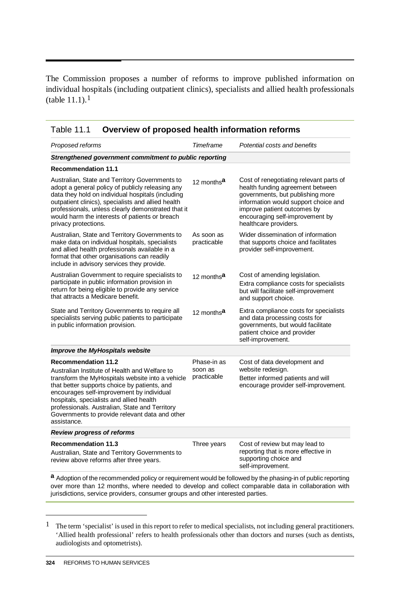The Commission proposes a number of reforms to improve published information on individual hospitals (including outpatient clinics), specialists and allied health professionals (table 11.1).[1](#page-29-0)

| Proposed reforms                                                                                                                                                                                                                                                                                                                                                                            | Timeframe                             | Potential costs and benefits                                                                                                                                                                                                                       |
|---------------------------------------------------------------------------------------------------------------------------------------------------------------------------------------------------------------------------------------------------------------------------------------------------------------------------------------------------------------------------------------------|---------------------------------------|----------------------------------------------------------------------------------------------------------------------------------------------------------------------------------------------------------------------------------------------------|
| Strengthened government commitment to public reporting                                                                                                                                                                                                                                                                                                                                      |                                       |                                                                                                                                                                                                                                                    |
| <b>Recommendation 11.1</b>                                                                                                                                                                                                                                                                                                                                                                  |                                       |                                                                                                                                                                                                                                                    |
| Australian, State and Territory Governments to<br>adopt a general policy of publicly releasing any<br>data they hold on individual hospitals (including<br>outpatient clinics), specialists and allied health<br>professionals, unless clearly demonstrated that it<br>would harm the interests of patients or breach<br>privacy protections.                                               | 12 months <sup>a</sup>                | Cost of renegotiating relevant parts of<br>health funding agreement between<br>governments, but publishing more<br>information would support choice and<br>improve patient outcomes by<br>encouraging self-improvement by<br>healthcare providers. |
| Australian, State and Territory Governments to<br>make data on individual hospitals, specialists<br>and allied health professionals available in a<br>format that other organisations can readily<br>include in advisory services they provide.                                                                                                                                             | As soon as<br>practicable             | Wider dissemination of information<br>that supports choice and facilitates<br>provider self-improvement.                                                                                                                                           |
| Australian Government to require specialists to<br>participate in public information provision in<br>return for being eligible to provide any service<br>that attracts a Medicare benefit.                                                                                                                                                                                                  | 12 months <sup>a</sup>                | Cost of amending legislation.<br>Extra compliance costs for specialists<br>but will facilitate self-improvement<br>and support choice.                                                                                                             |
| State and Territory Governments to require all<br>specialists serving public patients to participate<br>in public information provision.                                                                                                                                                                                                                                                    | 12 months <sup>a</sup>                | Extra compliance costs for specialists<br>and data processing costs for<br>governments, but would facilitate<br>patient choice and provider<br>self-improvement.                                                                                   |
| <b>Improve the MyHospitals website</b>                                                                                                                                                                                                                                                                                                                                                      |                                       |                                                                                                                                                                                                                                                    |
| <b>Recommendation 11.2</b><br>Australian Institute of Health and Welfare to<br>transform the MyHospitals website into a vehicle<br>that better supports choice by patients, and<br>encourages self-improvement by individual<br>hospitals, specialists and allied health<br>professionals. Australian, State and Territory<br>Governments to provide relevant data and other<br>assistance. | Phase-in as<br>soon as<br>practicable | Cost of data development and<br>website redesign.<br>Better informed patients and will<br>encourage provider self-improvement.                                                                                                                     |
| <b>Review progress of reforms</b>                                                                                                                                                                                                                                                                                                                                                           |                                       |                                                                                                                                                                                                                                                    |
| <b>Recommendation 11.3</b><br>Australian, State and Territory Governments to<br>review above reforms after three years.                                                                                                                                                                                                                                                                     | Three years                           | Cost of review but may lead to<br>reporting that is more effective in<br>supporting choice and<br>self-improvement.                                                                                                                                |

Table 11.1 **Overview of proposed health information reforms**

over more than 12 months, where needed to develop and collect comparable data in collaboration with jurisdictions, service providers, consumer groups and other interested parties.

-

<span id="page-29-0"></span><sup>1</sup> The term 'specialist' is used in this report to refer to medical specialists, not including general practitioners. 'Allied health professional' refers to health professionals other than doctors and nurses (such as dentists, audiologists and optometrists).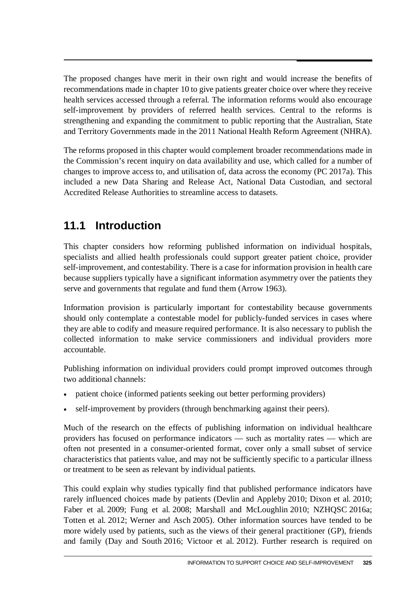The proposed changes have merit in their own right and would increase the benefits of recommendations made in chapter 10 to give patients greater choice over where they receive health services accessed through a referral. The information reforms would also encourage self-improvement by providers of referred health services. Central to the reforms is strengthening and expanding the commitment to public reporting that the Australian, State and Territory Governments made in the 2011 National Health Reform Agreement (NHRA).

The reforms proposed in this chapter would complement broader recommendations made in the Commission's recent inquiry on data availability and use, which called for a number of changes to improve access to, and utilisation of, data across the economy (PC 2017a). This included a new Data Sharing and Release Act, National Data Custodian, and sectoral Accredited Release Authorities to streamline access to datasets.

# **11.1 Introduction**

This chapter considers how reforming published information on individual hospitals, specialists and allied health professionals could support greater patient choice, provider self-improvement, and contestability. There is a case for information provision in health care because suppliers typically have a significant information asymmetry over the patients they serve and governments that regulate and fund them (Arrow 1963).

Information provision is particularly important for contestability because governments should only contemplate a contestable model for publicly-funded services in cases where they are able to codify and measure required performance. It is also necessary to publish the collected information to make service commissioners and individual providers more accountable.

Publishing information on individual providers could prompt improved outcomes through two additional channels:

- patient choice (informed patients seeking out better performing providers)
- self-improvement by providers (through benchmarking against their peers).

Much of the research on the effects of publishing information on individual healthcare providers has focused on performance indicators — such as mortality rates — which are often not presented in a consumer-oriented format, cover only a small subset of service characteristics that patients value, and may not be sufficiently specific to a particular illness or treatment to be seen as relevant by individual patients.

This could explain why studies typically find that published performance indicators have rarely influenced choices made by patients (Devlin and Appleby 2010; Dixon et al. 2010; Faber et al. 2009; Fung et al. 2008; Marshall and McLoughlin 2010; NZHQSC 2016a; Totten et al. 2012; Werner and Asch 2005). Other information sources have tended to be more widely used by patients, such as the views of their general practitioner (GP), friends and family (Day and South 2016; Victoor et al. 2012). Further research is required on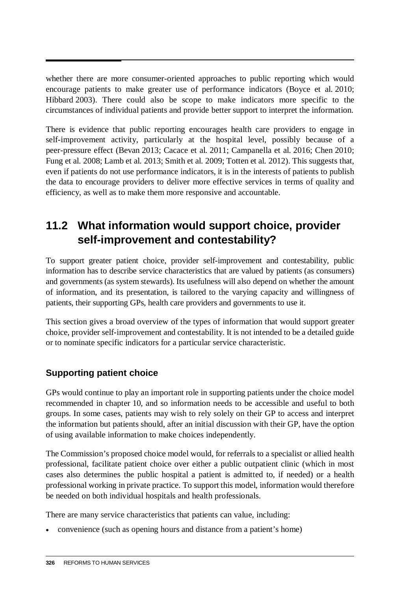whether there are more consumer-oriented approaches to public reporting which would encourage patients to make greater use of performance indicators (Boyce et al. 2010; Hibbard 2003). There could also be scope to make indicators more specific to the circumstances of individual patients and provide better support to interpret the information.

There is evidence that public reporting encourages health care providers to engage in self-improvement activity, particularly at the hospital level, possibly because of a peer-pressure effect (Bevan 2013; Cacace et al. 2011; Campanella et al. 2016; Chen 2010; Fung et al. 2008; Lamb et al. 2013; Smith et al. 2009; Totten et al. 2012). This suggests that, even if patients do not use performance indicators, it is in the interests of patients to publish the data to encourage providers to deliver more effective services in terms of quality and efficiency, as well as to make them more responsive and accountable.

# **11.2 What information would support choice, provider self-improvement and contestability?**

To support greater patient choice, provider self-improvement and contestability, public information has to describe service characteristics that are valued by patients (as consumers) and governments (as system stewards). Its usefulness will also depend on whether the amount of information, and its presentation, is tailored to the varying capacity and willingness of patients, their supporting GPs, health care providers and governments to use it.

This section gives a broad overview of the types of information that would support greater choice, provider self-improvement and contestability. It is not intended to be a detailed guide or to nominate specific indicators for a particular service characteristic.

# **Supporting patient choice**

GPs would continue to play an important role in supporting patients under the choice model recommended in chapter 10, and so information needs to be accessible and useful to both groups. In some cases, patients may wish to rely solely on their GP to access and interpret the information but patients should, after an initial discussion with their GP, have the option of using available information to make choices independently.

The Commission's proposed choice model would, for referrals to a specialist or allied health professional, facilitate patient choice over either a public outpatient clinic (which in most cases also determines the public hospital a patient is admitted to, if needed) or a health professional working in private practice. To support this model, information would therefore be needed on both individual hospitals and health professionals.

There are many service characteristics that patients can value, including:

• convenience (such as opening hours and distance from a patient's home)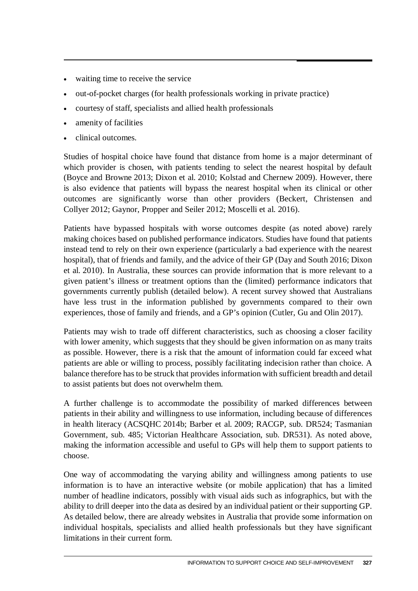- waiting time to receive the service
- out-of-pocket charges (for health professionals working in private practice)
- courtesy of staff, specialists and allied health professionals
- amenity of facilities
- clinical outcomes.

Studies of hospital choice have found that distance from home is a major determinant of which provider is chosen, with patients tending to select the nearest hospital by default (Boyce and Browne 2013; Dixon et al. 2010; Kolstad and Chernew 2009). However, there is also evidence that patients will bypass the nearest hospital when its clinical or other outcomes are significantly worse than other providers (Beckert, Christensen and Collyer 2012; Gaynor, Propper and Seiler 2012; Moscelli et al. 2016).

Patients have bypassed hospitals with worse outcomes despite (as noted above) rarely making choices based on published performance indicators. Studies have found that patients instead tend to rely on their own experience (particularly a bad experience with the nearest hospital), that of friends and family, and the advice of their GP (Day and South 2016; Dixon et al. 2010). In Australia, these sources can provide information that is more relevant to a given patient's illness or treatment options than the (limited) performance indicators that governments currently publish (detailed below). A recent survey showed that Australians have less trust in the information published by governments compared to their own experiences, those of family and friends, and a GP's opinion (Cutler, Gu and Olin 2017).

Patients may wish to trade off different characteristics, such as choosing a closer facility with lower amenity, which suggests that they should be given information on as many traits as possible. However, there is a risk that the amount of information could far exceed what patients are able or willing to process, possibly facilitating indecision rather than choice. A balance therefore has to be struck that provides information with sufficient breadth and detail to assist patients but does not overwhelm them.

A further challenge is to accommodate the possibility of marked differences between patients in their ability and willingness to use information, including because of differences in health literacy (ACSQHC 2014b; Barber et al. 2009; RACGP, sub. DR524; Tasmanian Government, sub. 485; Victorian Healthcare Association, sub. DR531). As noted above, making the information accessible and useful to GPs will help them to support patients to choose.

One way of accommodating the varying ability and willingness among patients to use information is to have an interactive website (or mobile application) that has a limited number of headline indicators, possibly with visual aids such as infographics, but with the ability to drill deeper into the data as desired by an individual patient or their supporting GP. As detailed below, there are already websites in Australia that provide some information on individual hospitals, specialists and allied health professionals but they have significant limitations in their current form.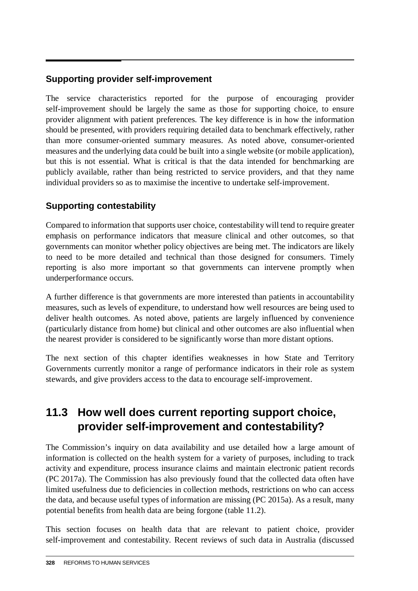# **Supporting provider self-improvement**

The service characteristics reported for the purpose of encouraging provider self-improvement should be largely the same as those for supporting choice, to ensure provider alignment with patient preferences. The key difference is in how the information should be presented, with providers requiring detailed data to benchmark effectively, rather than more consumer-oriented summary measures. As noted above, consumer-oriented measures and the underlying data could be built into a single website (or mobile application), but this is not essential. What is critical is that the data intended for benchmarking are publicly available, rather than being restricted to service providers, and that they name individual providers so as to maximise the incentive to undertake self-improvement.

# **Supporting contestability**

Compared to information that supports user choice, contestability will tend to require greater emphasis on performance indicators that measure clinical and other outcomes, so that governments can monitor whether policy objectives are being met. The indicators are likely to need to be more detailed and technical than those designed for consumers. Timely reporting is also more important so that governments can intervene promptly when underperformance occurs.

A further difference is that governments are more interested than patients in accountability measures, such as levels of expenditure, to understand how well resources are being used to deliver health outcomes. As noted above, patients are largely influenced by convenience (particularly distance from home) but clinical and other outcomes are also influential when the nearest provider is considered to be significantly worse than more distant options.

The next section of this chapter identifies weaknesses in how State and Territory Governments currently monitor a range of performance indicators in their role as system stewards, and give providers access to the data to encourage self-improvement.

# **11.3 How well does current reporting support choice, provider self-improvement and contestability?**

The Commission's inquiry on data availability and use detailed how a large amount of information is collected on the health system for a variety of purposes, including to track activity and expenditure, process insurance claims and maintain electronic patient records (PC 2017a). The Commission has also previously found that the collected data often have limited usefulness due to deficiencies in collection methods, restrictions on who can access the data, and because useful types of information are missing (PC 2015a). As a result, many potential benefits from health data are being forgone (table 11.2).

This section focuses on health data that are relevant to patient choice, provider self-improvement and contestability. Recent reviews of such data in Australia (discussed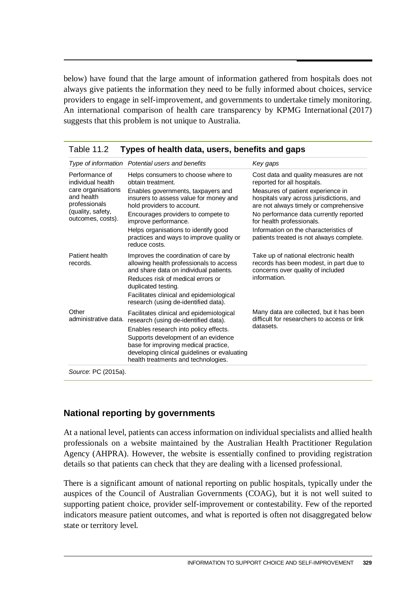below) have found that the large amount of information gathered from hospitals does not always give patients the information they need to be fully informed about choices, service providers to engage in self-improvement, and governments to undertake timely monitoring. An international comparison of health care transparency by KPMG International (2017) suggests that this problem is not unique to Australia.

| Key gaps                                                                                                                                                                                                                                                                                                                                                     |
|--------------------------------------------------------------------------------------------------------------------------------------------------------------------------------------------------------------------------------------------------------------------------------------------------------------------------------------------------------------|
| Cost data and quality measures are not<br>reported for all hospitals.<br>Measures of patient experience in<br>hospitals vary across jurisdictions, and<br>are not always timely or comprehensive<br>No performance data currently reported<br>for health professionals.<br>Information on the characteristics of<br>patients treated is not always complete. |
| Take up of national electronic health<br>records has been modest, in part due to<br>concerns over quality of included<br>information.                                                                                                                                                                                                                        |
| Many data are collected, but it has been<br>difficult for researchers to access or link<br>datasets.                                                                                                                                                                                                                                                         |
|                                                                                                                                                                                                                                                                                                                                                              |

|  | Table 11.2 Types of health data, users, benefits and gaps |  |  |  |
|--|-----------------------------------------------------------|--|--|--|
|--|-----------------------------------------------------------|--|--|--|

### **National reporting by governments**

At a national level, patients can access information on individual specialists and allied health professionals on a website maintained by the Australian Health Practitioner Regulation Agency (AHPRA). However, the website is essentially confined to providing registration details so that patients can check that they are dealing with a licensed professional.

There is a significant amount of national reporting on public hospitals, typically under the auspices of the Council of Australian Governments (COAG), but it is not well suited to supporting patient choice, provider self-improvement or contestability. Few of the reported indicators measure patient outcomes, and what is reported is often not disaggregated below state or territory level.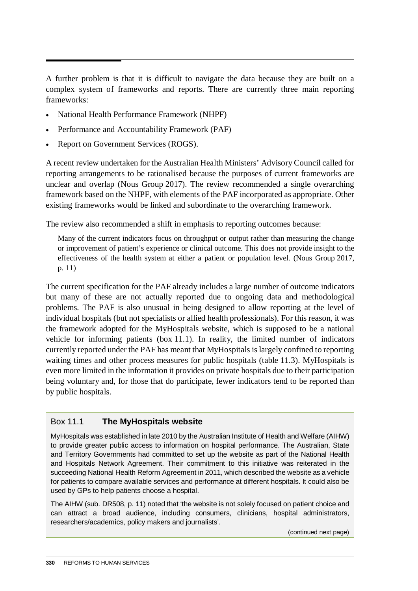A further problem is that it is difficult to navigate the data because they are built on a complex system of frameworks and reports. There are currently three main reporting frameworks:

- National Health Performance Framework (NHPF)
- Performance and Accountability Framework (PAF)
- Report on Government Services (ROGS).

A recent review undertaken for the Australian Health Ministers' Advisory Council called for reporting arrangements to be rationalised because the purposes of current frameworks are unclear and overlap (Nous Group 2017). The review recommended a single overarching framework based on the NHPF, with elements of the PAF incorporated as appropriate. Other existing frameworks would be linked and subordinate to the overarching framework.

The review also recommended a shift in emphasis to reporting outcomes because:

Many of the current indicators focus on throughput or output rather than measuring the change or improvement of patient's experience or clinical outcome. This does not provide insight to the effectiveness of the health system at either a patient or population level. (Nous Group 2017, p. 11)

The current specification for the PAF already includes a large number of outcome indicators but many of these are not actually reported due to ongoing data and methodological problems. The PAF is also unusual in being designed to allow reporting at the level of individual hospitals (but not specialists or allied health professionals). For this reason, it was the framework adopted for the MyHospitals website, which is supposed to be a national vehicle for informing patients (box 11.1). In reality, the limited number of indicators currently reported under the PAF has meant that MyHospitals is largely confined to reporting waiting times and other process measures for public hospitals (table 11.3). MyHospitals is even more limited in the information it provides on private hospitals due to their participation being voluntary and, for those that do participate, fewer indicators tend to be reported than by public hospitals.

#### Box 11.1 **The MyHospitals website**

MyHospitals was established in late 2010 by the Australian Institute of Health and Welfare (AIHW) to provide greater public access to information on hospital performance. The Australian, State and Territory Governments had committed to set up the website as part of the National Health and Hospitals Network Agreement. Their commitment to this initiative was reiterated in the succeeding National Health Reform Agreement in 2011, which described the website as a vehicle for patients to compare available services and performance at different hospitals. It could also be used by GPs to help patients choose a hospital.

The AIHW (sub. DR508, p. 11) noted that 'the website is not solely focused on patient choice and can attract a broad audience, including consumers, clinicians, hospital administrators, researchers/academics, policy makers and journalists'.

(continued next page)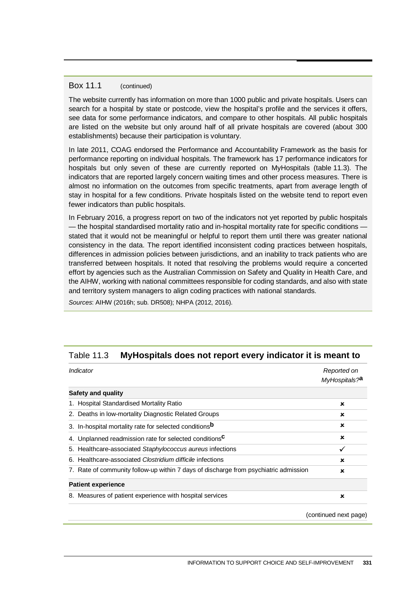#### Box 11.1 (continued)

The website currently has information on more than 1000 public and private hospitals. Users can search for a hospital by state or postcode, view the hospital's profile and the services it offers, see data for some performance indicators, and compare to other hospitals. All public hospitals are listed on the website but only around half of all private hospitals are covered (about 300 establishments) because their participation is voluntary.

In late 2011, COAG endorsed the Performance and Accountability Framework as the basis for performance reporting on individual hospitals. The framework has 17 performance indicators for hospitals but only seven of these are currently reported on MyHospitals (table 11.3). The indicators that are reported largely concern waiting times and other process measures. There is almost no information on the outcomes from specific treatments, apart from average length of stay in hospital for a few conditions. Private hospitals listed on the website tend to report even fewer indicators than public hospitals.

In February 2016, a progress report on two of the indicators not yet reported by public hospitals — the hospital standardised mortality ratio and in-hospital mortality rate for specific conditions stated that it would not be meaningful or helpful to report them until there was greater national consistency in the data. The report identified inconsistent coding practices between hospitals, differences in admission policies between jurisdictions, and an inability to track patients who are transferred between hospitals. It noted that resolving the problems would require a concerted effort by agencies such as the Australian Commission on Safety and Quality in Health Care, and the AIHW, working with national committees responsible for coding standards, and also with state and territory system managers to align coding practices with national standards.

*Sources*: AIHW (2016h; sub. DR508); NHPA (2012, 2016).

#### Table 11.3 **MyHospitals does not report every indicator it is meant to**

| Indicator                                                                            | Reported on<br>MyHospitals? <sup>a</sup> |
|--------------------------------------------------------------------------------------|------------------------------------------|
| Safety and quality                                                                   |                                          |
| 1. Hospital Standardised Mortality Ratio                                             | ×                                        |
| 2. Deaths in low-mortality Diagnostic Related Groups                                 | $\mathbf x$                              |
| 3. In-hospital mortality rate for selected conditions <sup>b</sup>                   | ×                                        |
| 4. Unplanned readmission rate for selected conditions <sup>C</sup>                   | ×                                        |
| 5. Healthcare-associated Staphylococcus aureus infections                            | ✓                                        |
| 6. Healthcare-associated Clostridium difficile infections                            | ×                                        |
| 7. Rate of community follow-up within 7 days of discharge from psychiatric admission | ×                                        |
| <b>Patient experience</b>                                                            |                                          |
| 8. Measures of patient experience with hospital services                             | ×                                        |

(continued next page)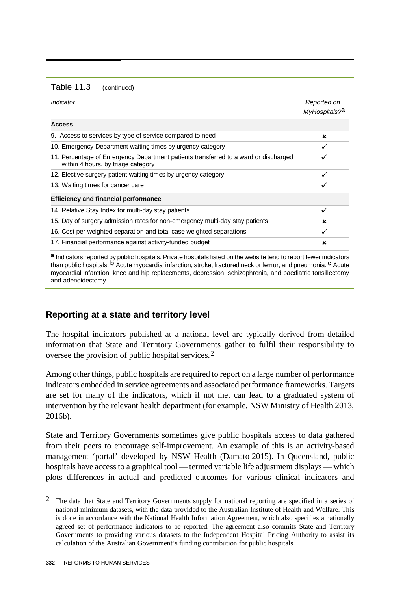| <b>Table 11.3</b> | (continued) |
|-------------------|-------------|
|-------------------|-------------|

| Indicator                                                                                                                 | Reported on<br>MyHospitals? <sup>a</sup> |
|---------------------------------------------------------------------------------------------------------------------------|------------------------------------------|
| <b>Access</b>                                                                                                             |                                          |
| 9. Access to services by type of service compared to need                                                                 | ×                                        |
| 10. Emergency Department waiting times by urgency category                                                                |                                          |
| 11. Percentage of Emergency Department patients transferred to a ward or discharged<br>within 4 hours, by triage category |                                          |
| 12. Elective surgery patient waiting times by urgency category                                                            | ✓                                        |
| 13. Waiting times for cancer care                                                                                         |                                          |
| <b>Efficiency and financial performance</b>                                                                               |                                          |
| 14. Relative Stay Index for multi-day stay patients                                                                       | ✓                                        |
| 15. Day of surgery admission rates for non-emergency multi-day stay patients                                              | ×                                        |
| 16. Cost per weighted separation and total case weighted separations                                                      | ✓                                        |
| 17. Financial performance against activity-funded budget                                                                  | ×                                        |

**a** Indicators reported by public hospitals. Private hospitals listed on the website tend to report fewer indicators than public hospitals. **b** Acute myocardial infarction, stroke, fractured neck or femur, and pneumonia. **c** Acute myocardial infarction, knee and hip replacements, depression, schizophrenia, and paediatric tonsillectomy and adenoidectomy.

# **Reporting at a state and territory level**

The hospital indicators published at a national level are typically derived from detailed information that State and Territory Governments gather to fulfil their responsibility to oversee the provision of public hospital services.[2](#page-37-0)

Among other things, public hospitals are required to report on a large number of performance indicators embedded in service agreements and associated performance frameworks. Targets are set for many of the indicators, which if not met can lead to a graduated system of intervention by the relevant health department (for example, NSW Ministry of Health 2013, 2016b).

State and Territory Governments sometimes give public hospitals access to data gathered from their peers to encourage self-improvement. An example of this is an activity-based management 'portal' developed by NSW Health (Damato 2015). In Queensland, public hospitals have access to a graphical tool — termed variable life adjustment displays — which plots differences in actual and predicted outcomes for various clinical indicators and

-

<span id="page-37-0"></span><sup>2</sup> The data that State and Territory Governments supply for national reporting are specified in a series of national minimum datasets, with the data provided to the Australian Institute of Health and Welfare. This is done in accordance with the National Health Information Agreement, which also specifies a nationally agreed set of performance indicators to be reported. The agreement also commits State and Territory Governments to providing various datasets to the Independent Hospital Pricing Authority to assist its calculation of the Australian Government's funding contribution for public hospitals.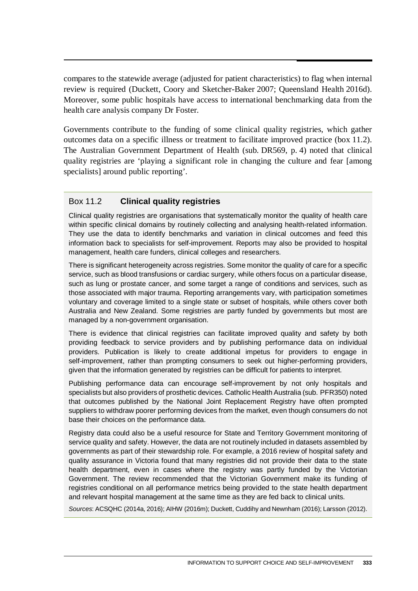compares to the statewide average (adjusted for patient characteristics) to flag when internal review is required (Duckett, Coory and Sketcher-Baker 2007; Queensland Health 2016d). Moreover, some public hospitals have access to international benchmarking data from the health care analysis company Dr Foster.

Governments contribute to the funding of some clinical quality registries, which gather outcomes data on a specific illness or treatment to facilitate improved practice (box 11.2). The Australian Government Department of Health (sub. DR569, p. 4) noted that clinical quality registries are 'playing a significant role in changing the culture and fear [among specialists] around public reporting'.

### Box 11.2 **Clinical quality registries**

Clinical quality registries are organisations that systematically monitor the quality of health care within specific clinical domains by routinely collecting and analysing health-related information. They use the data to identify benchmarks and variation in clinical outcomes and feed this information back to specialists for self-improvement. Reports may also be provided to hospital management, health care funders, clinical colleges and researchers.

There is significant heterogeneity across registries. Some monitor the quality of care for a specific service, such as blood transfusions or cardiac surgery, while others focus on a particular disease, such as lung or prostate cancer, and some target a range of conditions and services, such as those associated with major trauma. Reporting arrangements vary, with participation sometimes voluntary and coverage limited to a single state or subset of hospitals, while others cover both Australia and New Zealand. Some registries are partly funded by governments but most are managed by a non-government organisation.

There is evidence that clinical registries can facilitate improved quality and safety by both providing feedback to service providers and by publishing performance data on individual providers. Publication is likely to create additional impetus for providers to engage in self-improvement, rather than prompting consumers to seek out higher-performing providers, given that the information generated by registries can be difficult for patients to interpret.

Publishing performance data can encourage self-improvement by not only hospitals and specialists but also providers of prosthetic devices. Catholic Health Australia (sub. PFR350) noted that outcomes published by the National Joint Replacement Registry have often prompted suppliers to withdraw poorer performing devices from the market, even though consumers do not base their choices on the performance data.

Registry data could also be a useful resource for State and Territory Government monitoring of service quality and safety. However, the data are not routinely included in datasets assembled by governments as part of their stewardship role. For example, a 2016 review of hospital safety and quality assurance in Victoria found that many registries did not provide their data to the state health department, even in cases where the registry was partly funded by the Victorian Government. The review recommended that the Victorian Government make its funding of registries conditional on all performance metrics being provided to the state health department and relevant hospital management at the same time as they are fed back to clinical units.

*Sources*: ACSQHC (2014a, 2016); AIHW (2016m); Duckett, Cuddihy and Newnham (2016); Larsson (2012).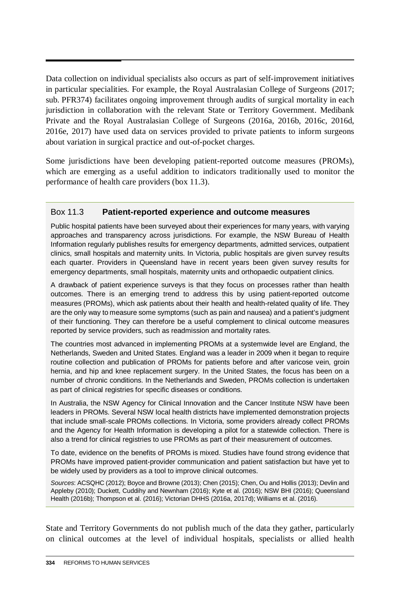Data collection on individual specialists also occurs as part of self-improvement initiatives in particular specialities. For example, the Royal Australasian College of Surgeons (2017; sub. PFR374) facilitates ongoing improvement through audits of surgical mortality in each jurisdiction in collaboration with the relevant State or Territory Government. Medibank Private and the Royal Australasian College of Surgeons (2016a, 2016b, 2016c, 2016d, 2016e, 2017) have used data on services provided to private patients to inform surgeons about variation in surgical practice and out-of-pocket charges.

Some jurisdictions have been developing patient-reported outcome measures (PROMs), which are emerging as a useful addition to indicators traditionally used to monitor the performance of health care providers (box 11.3).

#### Box 11.3 **Patient-reported experience and outcome measures**

Public hospital patients have been surveyed about their experiences for many years, with varying approaches and transparency across jurisdictions. For example, the NSW Bureau of Health Information regularly publishes results for emergency departments, admitted services, outpatient clinics, small hospitals and maternity units. In Victoria, public hospitals are given survey results each quarter. Providers in Queensland have in recent years been given survey results for emergency departments, small hospitals, maternity units and orthopaedic outpatient clinics.

A drawback of patient experience surveys is that they focus on processes rather than health outcomes. There is an emerging trend to address this by using patient-reported outcome measures (PROMs), which ask patients about their health and health-related quality of life. They are the only way to measure some symptoms (such as pain and nausea) and a patient's judgment of their functioning. They can therefore be a useful complement to clinical outcome measures reported by service providers, such as readmission and mortality rates.

The countries most advanced in implementing PROMs at a systemwide level are England, the Netherlands, Sweden and United States. England was a leader in 2009 when it began to require routine collection and publication of PROMs for patients before and after varicose vein, groin hernia, and hip and knee replacement surgery. In the United States, the focus has been on a number of chronic conditions. In the Netherlands and Sweden, PROMs collection is undertaken as part of clinical registries for specific diseases or conditions.

In Australia, the NSW Agency for Clinical Innovation and the Cancer Institute NSW have been leaders in PROMs. Several NSW local health districts have implemented demonstration projects that include small-scale PROMs collections. In Victoria, some providers already collect PROMs and the Agency for Health Information is developing a pilot for a statewide collection. There is also a trend for clinical registries to use PROMs as part of their measurement of outcomes.

To date, evidence on the benefits of PROMs is mixed. Studies have found strong evidence that PROMs have improved patient-provider communication and patient satisfaction but have yet to be widely used by providers as a tool to improve clinical outcomes.

*Sources*: ACSQHC (2012); Boyce and Browne (2013); Chen (2015); Chen, Ou and Hollis (2013); Devlin and Appleby (2010); Duckett, Cuddihy and Newnham (2016); Kyte et al. (2016); NSW BHI (2016); Queensland Health (2016b); Thompson et al. (2016); Victorian DHHS (2016a, 2017d); Williams et al. (2016).

State and Territory Governments do not publish much of the data they gather, particularly on clinical outcomes at the level of individual hospitals, specialists or allied health

 $\overline{a}$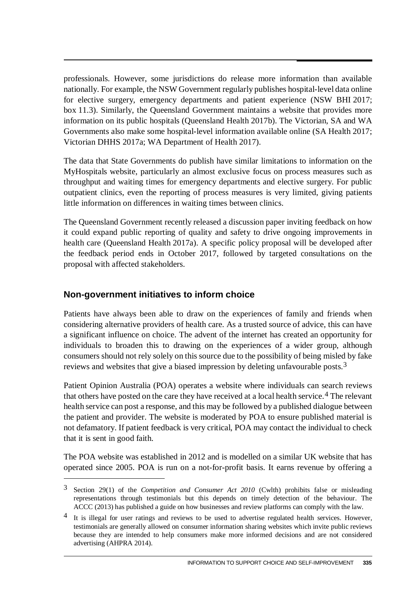professionals. However, some jurisdictions do release more information than available nationally. For example, the NSW Government regularly publishes hospital-level data online for elective surgery, emergency departments and patient experience (NSW BHI 2017; box 11.3). Similarly, the Queensland Government maintains a website that provides more information on its public hospitals (Queensland Health 2017b). The Victorian, SA and WA Governments also make some hospital-level information available online (SA Health 2017; Victorian DHHS 2017a; WA Department of Health 2017).

The data that State Governments do publish have similar limitations to information on the MyHospitals website, particularly an almost exclusive focus on process measures such as throughput and waiting times for emergency departments and elective surgery. For public outpatient clinics, even the reporting of process measures is very limited, giving patients little information on differences in waiting times between clinics.

The Queensland Government recently released a discussion paper inviting feedback on how it could expand public reporting of quality and safety to drive ongoing improvements in health care (Queensland Health 2017a). A specific policy proposal will be developed after the feedback period ends in October 2017, followed by targeted consultations on the proposal with affected stakeholders.

# **Non-government initiatives to inform choice**

 $\overline{a}$ 

Patients have always been able to draw on the experiences of family and friends when considering alternative providers of health care. As a trusted source of advice, this can have a significant influence on choice. The advent of the internet has created an opportunity for individuals to broaden this to drawing on the experiences of a wider group, although consumers should not rely solely on this source due to the possibility of being misled by fake reviews and websites that give a biased impression by deleting unfavourable posts.[3](#page-40-0)

Patient Opinion Australia (POA) operates a website where individuals can search reviews that others have posted on the care they have received at a local health service.<sup>[4](#page-40-1)</sup> The relevant health service can post a response, and this may be followed by a published dialogue between the patient and provider. The website is moderated by POA to ensure published material is not defamatory. If patient feedback is very critical, POA may contact the individual to check that it is sent in good faith.

The POA website was established in 2012 and is modelled on a similar UK website that has operated since 2005. POA is run on a not-for-profit basis. It earns revenue by offering a

<span id="page-40-0"></span><sup>3</sup> Section 29(1) of the *Competition and Consumer Act 2010* (Cwlth) prohibits false or misleading representations through testimonials but this depends on timely detection of the behaviour. The ACCC (2013) has published a guide on how businesses and review platforms can comply with the law.

<span id="page-40-1"></span><sup>4</sup> It is illegal for user ratings and reviews to be used to advertise regulated health services. However, testimonials are generally allowed on consumer information sharing websites which invite public reviews because they are intended to help consumers make more informed decisions and are not considered advertising (AHPRA 2014).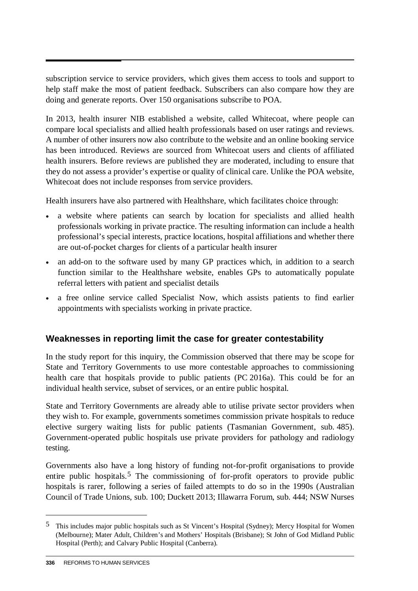subscription service to service providers, which gives them access to tools and support to help staff make the most of patient feedback. Subscribers can also compare how they are doing and generate reports. Over 150 organisations subscribe to POA.

In 2013, health insurer NIB established a website, called Whitecoat, where people can compare local specialists and allied health professionals based on user ratings and reviews. A number of other insurers now also contribute to the website and an online booking service has been introduced. Reviews are sourced from Whitecoat users and clients of affiliated health insurers. Before reviews are published they are moderated, including to ensure that they do not assess a provider's expertise or quality of clinical care. Unlike the POA website, Whitecoat does not include responses from service providers.

Health insurers have also partnered with Healthshare, which facilitates choice through:

- a website where patients can search by location for specialists and allied health professionals working in private practice. The resulting information can include a health professional's special interests, practice locations, hospital affiliations and whether there are out-of-pocket charges for clients of a particular health insurer
- an add-on to the software used by many GP practices which, in addition to a search function similar to the Healthshare website, enables GPs to automatically populate referral letters with patient and specialist details
- a free online service called Specialist Now, which assists patients to find earlier appointments with specialists working in private practice.

# **Weaknesses in reporting limit the case for greater contestability**

In the study report for this inquiry, the Commission observed that there may be scope for State and Territory Governments to use more contestable approaches to commissioning health care that hospitals provide to public patients (PC 2016a). This could be for an individual health service, subset of services, or an entire public hospital.

State and Territory Governments are already able to utilise private sector providers when they wish to. For example, governments sometimes commission private hospitals to reduce elective surgery waiting lists for public patients (Tasmanian Government, sub. 485). Government-operated public hospitals use private providers for pathology and radiology testing.

Governments also have a long history of funding not-for-profit organisations to provide entire public hospitals.<sup>[5](#page-41-0)</sup> The commissioning of for-profit operators to provide public hospitals is rarer, following a series of failed attempts to do so in the 1990s (Australian Council of Trade Unions, sub. 100; Duckett 2013; Illawarra Forum, sub. 444; NSW Nurses

-

<span id="page-41-0"></span><sup>5</sup> This includes major public hospitals such as St Vincent's Hospital (Sydney); Mercy Hospital for Women (Melbourne); Mater Adult, Children's and Mothers' Hospitals (Brisbane); St John of God Midland Public Hospital (Perth); and Calvary Public Hospital (Canberra).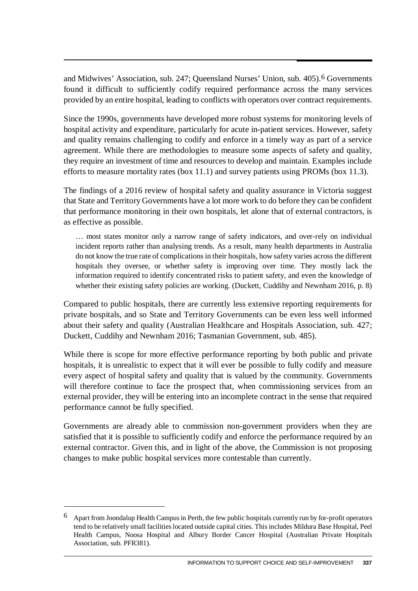and Midwives' Association, sub. 247; Queensland Nurses' Union, sub. 405).[6](#page-42-0) Governments found it difficult to sufficiently codify required performance across the many services provided by an entire hospital, leading to conflicts with operators over contract requirements.

Since the 1990s, governments have developed more robust systems for monitoring levels of hospital activity and expenditure, particularly for acute in-patient services. However, safety and quality remains challenging to codify and enforce in a timely way as part of a service agreement. While there are methodologies to measure some aspects of safety and quality, they require an investment of time and resources to develop and maintain. Examples include efforts to measure mortality rates (box 11.1) and survey patients using PROMs (box 11.3).

The findings of a 2016 review of hospital safety and quality assurance in Victoria suggest that State and Territory Governments have a lot more work to do before they can be confident that performance monitoring in their own hospitals, let alone that of external contractors, is as effective as possible.

… most states monitor only a narrow range of safety indicators, and over-rely on individual incident reports rather than analysing trends. As a result, many health departments in Australia do not know the true rate of complications in their hospitals, how safety varies across the different hospitals they oversee, or whether safety is improving over time. They mostly lack the information required to identify concentrated risks to patient safety, and even the knowledge of whether their existing safety policies are working. (Duckett, Cuddihy and Newnham 2016, p. 8)

Compared to public hospitals, there are currently less extensive reporting requirements for private hospitals, and so State and Territory Governments can be even less well informed about their safety and quality (Australian Healthcare and Hospitals Association, sub. 427; Duckett, Cuddihy and Newnham 2016; Tasmanian Government, sub. 485).

While there is scope for more effective performance reporting by both public and private hospitals, it is unrealistic to expect that it will ever be possible to fully codify and measure every aspect of hospital safety and quality that is valued by the community. Governments will therefore continue to face the prospect that, when commissioning services from an external provider, they will be entering into an incomplete contract in the sense that required performance cannot be fully specified.

Governments are already able to commission non-government providers when they are satisfied that it is possible to sufficiently codify and enforce the performance required by an external contractor. Given this, and in light of the above, the Commission is not proposing changes to make public hospital services more contestable than currently.

 $\overline{a}$ 

<span id="page-42-0"></span><sup>6</sup> Apart from Joondalup Health Campus in Perth, the few public hospitals currently run by for-profit operators tend to be relatively small facilities located outside capital cities. This includes Mildura Base Hospital, Peel Health Campus, Noosa Hospital and Albury Border Cancer Hospital (Australian Private Hospitals Association, sub. PFR381).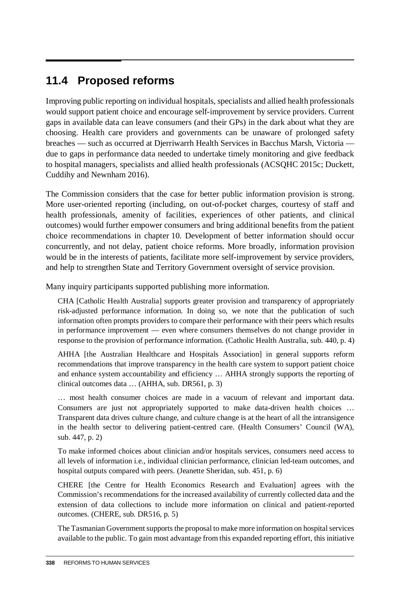# **11.4 Proposed reforms**

Improving public reporting on individual hospitals, specialists and allied health professionals would support patient choice and encourage self-improvement by service providers. Current gaps in available data can leave consumers (and their GPs) in the dark about what they are choosing. Health care providers and governments can be unaware of prolonged safety breaches — such as occurred at Djerriwarrh Health Services in Bacchus Marsh, Victoria due to gaps in performance data needed to undertake timely monitoring and give feedback to hospital managers, specialists and allied health professionals (ACSQHC 2015c; Duckett, Cuddihy and Newnham 2016).

The Commission considers that the case for better public information provision is strong. More user-oriented reporting (including, on out-of-pocket charges, courtesy of staff and health professionals, amenity of facilities, experiences of other patients, and clinical outcomes) would further empower consumers and bring additional benefits from the patient choice recommendations in chapter 10. Development of better information should occur concurrently, and not delay, patient choice reforms. More broadly, information provision would be in the interests of patients, facilitate more self-improvement by service providers, and help to strengthen State and Territory Government oversight of service provision.

Many inquiry participants supported publishing more information.

CHA [Catholic Health Australia] supports greater provision and transparency of appropriately risk-adjusted performance information. In doing so, we note that the publication of such information often prompts providers to compare their performance with their peers which results in performance improvement — even where consumers themselves do not change provider in response to the provision of performance information. (Catholic Health Australia, sub. 440, p. 4)

AHHA [the Australian Healthcare and Hospitals Association] in general supports reform recommendations that improve transparency in the health care system to support patient choice and enhance system accountability and efficiency … AHHA strongly supports the reporting of clinical outcomes data … (AHHA, sub. DR561, p. 3)

… most health consumer choices are made in a vacuum of relevant and important data. Consumers are just not appropriately supported to make data-driven health choices … Transparent data drives culture change, and culture change is at the heart of all the intransigence in the health sector to delivering patient-centred care. (Health Consumers' Council (WA), sub. 447, p. 2)

To make informed choices about clinician and/or hospitals services, consumers need access to all levels of information i.e., individual clinician performance, clinician led-team outcomes, and hospital outputs compared with peers. (Jeanette Sheridan, sub. 451, p. 6)

CHERE [the Centre for Health Economics Research and Evaluation] agrees with the Commission's recommendations for the increased availability of currently collected data and the extension of data collections to include more information on clinical and patient-reported outcomes. (CHERE, sub. DR516, p. 5)

The Tasmanian Government supports the proposal to make more information on hospital services available to the public. To gain most advantage from this expanded reporting effort, this initiative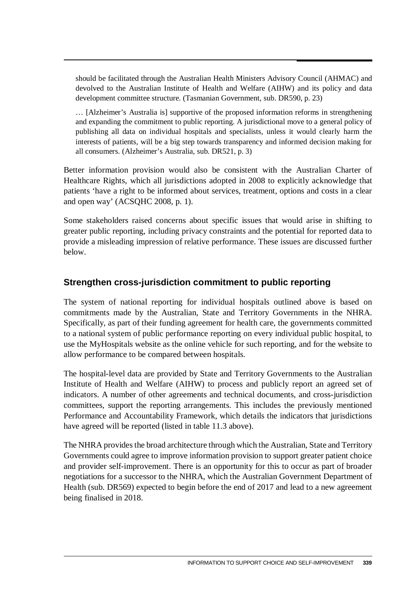should be facilitated through the Australian Health Ministers Advisory Council (AHMAC) and devolved to the Australian Institute of Health and Welfare (AIHW) and its policy and data development committee structure. (Tasmanian Government, sub. DR590, p. 23)

… [Alzheimer's Australia is] supportive of the proposed information reforms in strengthening and expanding the commitment to public reporting. A jurisdictional move to a general policy of publishing all data on individual hospitals and specialists, unless it would clearly harm the interests of patients, will be a big step towards transparency and informed decision making for all consumers. (Alzheimer's Australia, sub. DR521, p. 3)

Better information provision would also be consistent with the Australian Charter of Healthcare Rights, which all jurisdictions adopted in 2008 to explicitly acknowledge that patients 'have a right to be informed about services, treatment, options and costs in a clear and open way' (ACSQHC 2008, p. 1).

Some stakeholders raised concerns about specific issues that would arise in shifting to greater public reporting, including privacy constraints and the potential for reported data to provide a misleading impression of relative performance. These issues are discussed further below.

# **Strengthen cross-jurisdiction commitment to public reporting**

The system of national reporting for individual hospitals outlined above is based on commitments made by the Australian, State and Territory Governments in the NHRA. Specifically, as part of their funding agreement for health care, the governments committed to a national system of public performance reporting on every individual public hospital, to use the MyHospitals website as the online vehicle for such reporting, and for the website to allow performance to be compared between hospitals.

The hospital-level data are provided by State and Territory Governments to the Australian Institute of Health and Welfare (AIHW) to process and publicly report an agreed set of indicators. A number of other agreements and technical documents, and cross-jurisdiction committees, support the reporting arrangements. This includes the previously mentioned Performance and Accountability Framework, which details the indicators that jurisdictions have agreed will be reported (listed in table 11.3 above).

The NHRA provides the broad architecture through which the Australian, State and Territory Governments could agree to improve information provision to support greater patient choice and provider self-improvement. There is an opportunity for this to occur as part of broader negotiations for a successor to the NHRA, which the Australian Government Department of Health (sub. DR569) expected to begin before the end of 2017 and lead to a new agreement being finalised in 2018.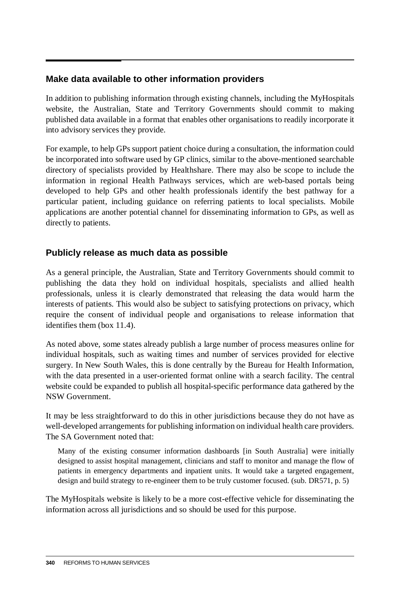# **Make data available to other information providers**

In addition to publishing information through existing channels, including the MyHospitals website, the Australian, State and Territory Governments should commit to making published data available in a format that enables other organisations to readily incorporate it into advisory services they provide.

For example, to help GPs support patient choice during a consultation, the information could be incorporated into software used by GP clinics, similar to the above-mentioned searchable directory of specialists provided by Healthshare. There may also be scope to include the information in regional Health Pathways services, which are web-based portals being developed to help GPs and other health professionals identify the best pathway for a particular patient, including guidance on referring patients to local specialists. Mobile applications are another potential channel for disseminating information to GPs, as well as directly to patients.

### **Publicly release as much data as possible**

As a general principle, the Australian, State and Territory Governments should commit to publishing the data they hold on individual hospitals, specialists and allied health professionals, unless it is clearly demonstrated that releasing the data would harm the interests of patients. This would also be subject to satisfying protections on privacy, which require the consent of individual people and organisations to release information that identifies them (box 11.4).

As noted above, some states already publish a large number of process measures online for individual hospitals, such as waiting times and number of services provided for elective surgery. In New South Wales, this is done centrally by the Bureau for Health Information, with the data presented in a user-oriented format online with a search facility. The central website could be expanded to publish all hospital-specific performance data gathered by the NSW Government.

It may be less straightforward to do this in other jurisdictions because they do not have as well-developed arrangements for publishing information on individual health care providers. The SA Government noted that:

Many of the existing consumer information dashboards [in South Australia] were initially designed to assist hospital management, clinicians and staff to monitor and manage the flow of patients in emergency departments and inpatient units. It would take a targeted engagement, design and build strategy to re-engineer them to be truly customer focused. (sub. DR571, p. 5)

The MyHospitals website is likely to be a more cost-effective vehicle for disseminating the information across all jurisdictions and so should be used for this purpose.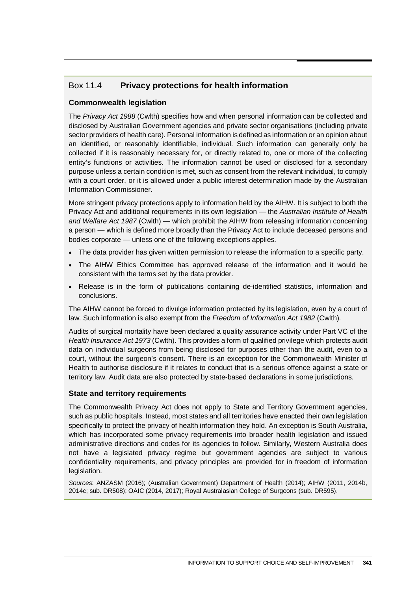# Box 11.4 **Privacy protections for health information**

#### **Commonwealth legislation**

The *Privacy Act 1988* (Cwlth) specifies how and when personal information can be collected and disclosed by Australian Government agencies and private sector organisations (including private sector providers of health care). Personal information is defined as information or an opinion about an identified, or reasonably identifiable, individual. Such information can generally only be collected if it is reasonably necessary for, or directly related to, one or more of the collecting entity's functions or activities. The information cannot be used or disclosed for a secondary purpose unless a certain condition is met, such as consent from the relevant individual, to comply with a court order, or it is allowed under a public interest determination made by the Australian Information Commissioner.

More stringent privacy protections apply to information held by the AIHW. It is subject to both the Privacy Act and additional requirements in its own legislation — the *Australian Institute of Health and Welfare Act 1987* (Cwlth) — which prohibit the AIHW from releasing information concerning a person — which is defined more broadly than the Privacy Act to include deceased persons and bodies corporate — unless one of the following exceptions applies.

- The data provider has given written permission to release the information to a specific party.
- The AIHW Ethics Committee has approved release of the information and it would be consistent with the terms set by the data provider.
- Release is in the form of publications containing de-identified statistics, information and conclusions.

The AIHW cannot be forced to divulge information protected by its legislation, even by a court of law. Such information is also exempt from the *Freedom of Information Act 1982* (Cwlth).

Audits of surgical mortality have been declared a quality assurance activity under Part VC of the *Health Insurance Act 1973* (Cwlth). This provides a form of qualified privilege which protects audit data on individual surgeons from being disclosed for purposes other than the audit, even to a court, without the surgeon's consent. There is an exception for the Commonwealth Minister of Health to authorise disclosure if it relates to conduct that is a serious offence against a state or territory law. Audit data are also protected by state-based declarations in some jurisdictions.

#### **State and territory requirements**

The Commonwealth Privacy Act does not apply to State and Territory Government agencies, such as public hospitals. Instead, most states and all territories have enacted their own legislation specifically to protect the privacy of health information they hold. An exception is South Australia, which has incorporated some privacy requirements into broader health legislation and issued administrative directions and codes for its agencies to follow. Similarly, Western Australia does not have a legislated privacy regime but government agencies are subject to various confidentiality requirements, and privacy principles are provided for in freedom of information legislation.

*Sources*: ANZASM (2016); (Australian Government) Department of Health (2014); AIHW (2011, 2014b, 2014c; sub. DR508); OAIC (2014, 2017); Royal Australasian College of Surgeons (sub. DR595).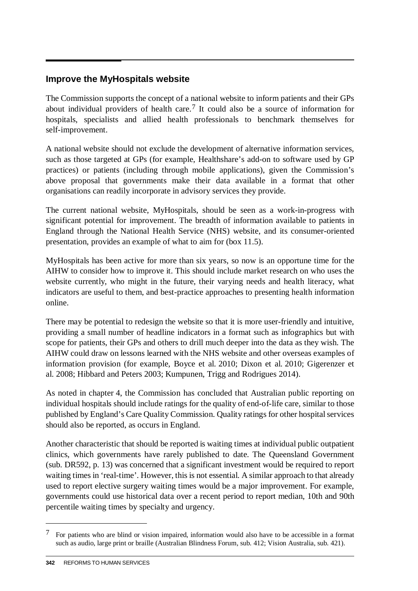# **Improve the MyHospitals website**

The Commission supports the concept of a national website to inform patients and their GPs about individual providers of health care.[7](#page-47-0) It could also be a source of information for hospitals, specialists and allied health professionals to benchmark themselves for self-improvement.

A national website should not exclude the development of alternative information services, such as those targeted at GPs (for example, Healthshare's add-on to software used by GP practices) or patients (including through mobile applications), given the Commission's above proposal that governments make their data available in a format that other organisations can readily incorporate in advisory services they provide.

The current national website, MyHospitals, should be seen as a work-in-progress with significant potential for improvement. The breadth of information available to patients in England through the National Health Service (NHS) website, and its consumer-oriented presentation, provides an example of what to aim for (box 11.5).

MyHospitals has been active for more than six years, so now is an opportune time for the AIHW to consider how to improve it. This should include market research on who uses the website currently, who might in the future, their varying needs and health literacy, what indicators are useful to them, and best-practice approaches to presenting health information online.

There may be potential to redesign the website so that it is more user-friendly and intuitive, providing a small number of headline indicators in a format such as infographics but with scope for patients, their GPs and others to drill much deeper into the data as they wish. The AIHW could draw on lessons learned with the NHS website and other overseas examples of information provision (for example, Boyce et al. 2010; Dixon et al. 2010; Gigerenzer et al. 2008; Hibbard and Peters 2003; Kumpunen, Trigg and Rodrigues 2014).

As noted in chapter 4, the Commission has concluded that Australian public reporting on individual hospitals should include ratings for the quality of end-of-life care, similar to those published by England's Care Quality Commission. Quality ratings for other hospital services should also be reported, as occurs in England.

Another characteristic that should be reported is waiting times at individual public outpatient clinics, which governments have rarely published to date. The Queensland Government (sub. DR592, p. 13) was concerned that a significant investment would be required to report waiting times in 'real-time'. However, this is not essential. A similar approach to that already used to report elective surgery waiting times would be a major improvement. For example, governments could use historical data over a recent period to report median, 10th and 90th percentile waiting times by specialty and urgency.

-

<span id="page-47-0"></span><sup>7</sup> For patients who are blind or vision impaired, information would also have to be accessible in a format such as audio, large print or braille (Australian Blindness Forum, sub. 412; Vision Australia, sub. 421).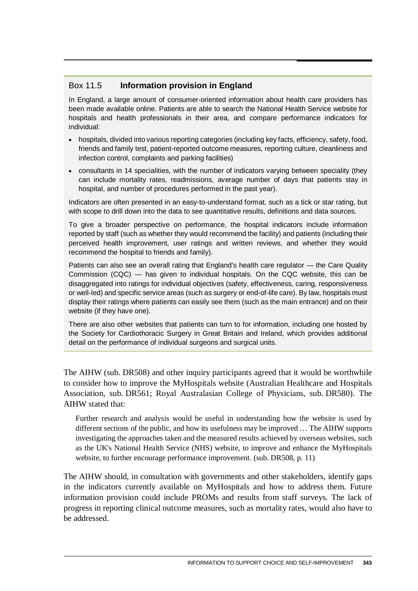## Box 11.5 **Information provision in England**

 $\overline{a}$ 

In England, a large amount of consumer-oriented information about health care providers has been made available online. Patients are able to search the National Health Service website for hospitals and health professionals in their area, and compare performance indicators for individual:

- hospitals, divided into various reporting categories (including key facts, efficiency, safety, food, friends and family test, patient-reported outcome measures, reporting culture, cleanliness and infection control, complaints and parking facilities)
- consultants in 14 specialities, with the number of indicators varying between speciality (they can include mortality rates, readmissions, average number of days that patients stay in hospital, and number of procedures performed in the past year).

Indicators are often presented in an easy-to-understand format, such as a tick or star rating, but with scope to drill down into the data to see quantitative results, definitions and data sources.

To give a broader perspective on performance, the hospital indicators include information reported by staff (such as whether they would recommend the facility) and patients (including their perceived health improvement, user ratings and written reviews, and whether they would recommend the hospital to friends and family).

Patients can also see an overall rating that England's health care regulator — the Care Quality Commission (CQC) — has given to individual hospitals. On the CQC website, this can be disaggregated into ratings for individual objectives (safety, effectiveness, caring, responsiveness or well-led) and specific service areas (such as surgery or end-of-life care). By law, hospitals must display their ratings where patients can easily see them (such as the main entrance) and on their website (if they have one).

There are also other websites that patients can turn to for information, including one hosted by the Society for Cardiothoracic Surgery in Great Britain and Ireland, which provides additional detail on the performance of individual surgeons and surgical units.

The AIHW (sub. DR508) and other inquiry participants agreed that it would be worthwhile to consider how to improve the MyHospitals website (Australian Healthcare and Hospitals Association, sub. DR561; Royal Australasian College of Physicians, sub. DR580). The AIHW stated that:

Further research and analysis would be useful in understanding how the website is used by different sections of the public, and how its usefulness may be improved … The AIHW supports investigating the approaches taken and the measured results achieved by overseas websites, such as the UK's National Health Service (NHS) website, to improve and enhance the MyHospitals website, to further encourage performance improvement. (sub. DR508, p. 11)

The AIHW should, in consultation with governments and other stakeholders, identify gaps in the indicators currently available on MyHospitals and how to address them. Future information provision could include PROMs and results from staff surveys. The lack of progress in reporting clinical outcome measures, such as mortality rates, would also have to be addressed.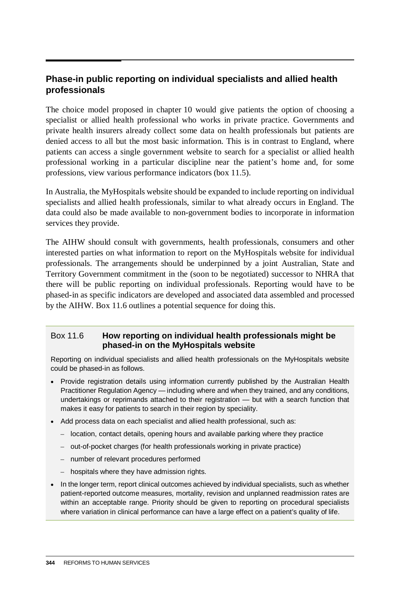# **Phase-in public reporting on individual specialists and allied health professionals**

The choice model proposed in chapter 10 would give patients the option of choosing a specialist or allied health professional who works in private practice. Governments and private health insurers already collect some data on health professionals but patients are denied access to all but the most basic information. This is in contrast to England, where patients can access a single government website to search for a specialist or allied health professional working in a particular discipline near the patient's home and, for some professions, view various performance indicators (box 11.5).

In Australia, the MyHospitals website should be expanded to include reporting on individual specialists and allied health professionals, similar to what already occurs in England. The data could also be made available to non-government bodies to incorporate in information services they provide.

The AIHW should consult with governments, health professionals, consumers and other interested parties on what information to report on the MyHospitals website for individual professionals. The arrangements should be underpinned by a joint Australian, State and Territory Government commitment in the (soon to be negotiated) successor to NHRA that there will be public reporting on individual professionals. Reporting would have to be phased-in as specific indicators are developed and associated data assembled and processed by the AIHW. Box 11.6 outlines a potential sequence for doing this.

### Box 11.6 **How reporting on individual health professionals might be phased-in on the MyHospitals website**

Reporting on individual specialists and allied health professionals on the MyHospitals website could be phased-in as follows.

- Provide registration details using information currently published by the Australian Health Practitioner Regulation Agency — including where and when they trained, and any conditions, undertakings or reprimands attached to their registration — but with a search function that makes it easy for patients to search in their region by speciality.
- Add process data on each specialist and allied health professional, such as:
	- location, contact details, opening hours and available parking where they practice
	- out-of-pocket charges (for health professionals working in private practice)
	- number of relevant procedures performed
	- hospitals where they have admission rights.
- In the longer term, report clinical outcomes achieved by individual specialists, such as whether patient-reported outcome measures, mortality, revision and unplanned readmission rates are within an acceptable range. Priority should be given to reporting on procedural specialists where variation in clinical performance can have a large effect on a patient's quality of life.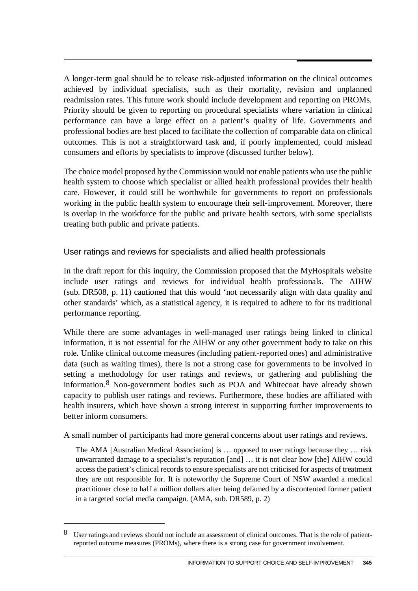A longer-term goal should be to release risk-adjusted information on the clinical outcomes achieved by individual specialists, such as their mortality, revision and unplanned readmission rates. This future work should include development and reporting on PROMs. Priority should be given to reporting on procedural specialists where variation in clinical performance can have a large effect on a patient's quality of life. Governments and professional bodies are best placed to facilitate the collection of comparable data on clinical outcomes. This is not a straightforward task and, if poorly implemented, could mislead consumers and efforts by specialists to improve (discussed further below).

The choice model proposed by the Commission would not enable patients who use the public health system to choose which specialist or allied health professional provides their health care. However, it could still be worthwhile for governments to report on professionals working in the public health system to encourage their self-improvement. Moreover, there is overlap in the workforce for the public and private health sectors, with some specialists treating both public and private patients.

### User ratings and reviews for specialists and allied health professionals

In the draft report for this inquiry, the Commission proposed that the MyHospitals website include user ratings and reviews for individual health professionals. The AIHW (sub. DR508, p. 11) cautioned that this would 'not necessarily align with data quality and other standards' which, as a statistical agency, it is required to adhere to for its traditional performance reporting.

While there are some advantages in well-managed user ratings being linked to clinical information, it is not essential for the AIHW or any other government body to take on this role. Unlike clinical outcome measures (including patient-reported ones) and administrative data (such as waiting times), there is not a strong case for governments to be involved in setting a methodology for user ratings and reviews, or gathering and publishing the information.[8](#page-50-0) Non-government bodies such as POA and Whitecoat have already shown capacity to publish user ratings and reviews. Furthermore, these bodies are affiliated with health insurers, which have shown a strong interest in supporting further improvements to better inform consumers.

A small number of participants had more general concerns about user ratings and reviews.

The AMA [Australian Medical Association] is … opposed to user ratings because they … risk unwarranted damage to a specialist's reputation [and] … it is not clear how [the] AIHW could access the patient's clinical records to ensure specialists are not criticised for aspects of treatment they are not responsible for. It is noteworthy the Supreme Court of NSW awarded a medical practitioner close to half a million dollars after being defamed by a discontented former patient in a targeted social media campaign. (AMA, sub. DR589, p. 2)

 $\overline{a}$ 

<span id="page-50-0"></span><sup>8</sup> User ratings and reviews should not include an assessment of clinical outcomes. That is the role of patientreported outcome measures (PROMs), where there is a strong case for government involvement.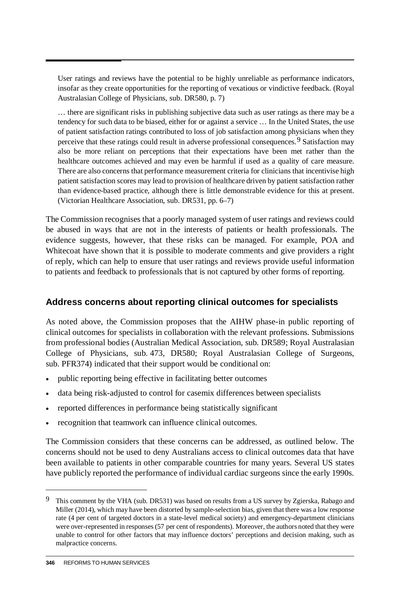User ratings and reviews have the potential to be highly unreliable as performance indicators, insofar as they create opportunities for the reporting of vexatious or vindictive feedback. (Royal Australasian College of Physicians, sub. DR580, p. 7)

… there are significant risks in publishing subjective data such as user ratings as there may be a tendency for such data to be biased, either for or against a service … In the United States, the use of patient satisfaction ratings contributed to loss of job satisfaction among physicians when they perceive that these ratings could result in adverse professional consequences.[9](#page-51-0) Satisfaction may also be more reliant on perceptions that their expectations have been met rather than the healthcare outcomes achieved and may even be harmful if used as a quality of care measure. There are also concerns that performance measurement criteria for clinicians that incentivise high patient satisfaction scores may lead to provision of healthcare driven by patient satisfaction rather than evidence-based practice, although there is little demonstrable evidence for this at present. (Victorian Healthcare Association, sub. DR531, pp. 6–7)

The Commission recognises that a poorly managed system of user ratings and reviews could be abused in ways that are not in the interests of patients or health professionals. The evidence suggests, however, that these risks can be managed. For example, POA and Whitecoat have shown that it is possible to moderate comments and give providers a right of reply, which can help to ensure that user ratings and reviews provide useful information to patients and feedback to professionals that is not captured by other forms of reporting.

# **Address concerns about reporting clinical outcomes for specialists**

As noted above, the Commission proposes that the AIHW phase-in public reporting of clinical outcomes for specialists in collaboration with the relevant professions. Submissions from professional bodies (Australian Medical Association, sub. DR589; Royal Australasian College of Physicians, sub. 473, DR580; Royal Australasian College of Surgeons, sub. PFR374) indicated that their support would be conditional on:

- public reporting being effective in facilitating better outcomes
- data being risk-adjusted to control for casemix differences between specialists
- reported differences in performance being statistically significant
- recognition that teamwork can influence clinical outcomes.

The Commission considers that these concerns can be addressed, as outlined below. The concerns should not be used to deny Australians access to clinical outcomes data that have been available to patients in other comparable countries for many years. Several US states have publicly reported the performance of individual cardiac surgeons since the early 1990s.

-

<span id="page-51-0"></span><sup>9</sup> This comment by the VHA (sub. DR531) was based on results from a US survey by Zgierska, Rabago and Miller (2014), which may have been distorted by sample-selection bias, given that there was a low response rate (4 per cent of targeted doctors in a state-level medical society) and emergency-department clinicians were over-represented in responses (57 per cent of respondents). Moreover, the authors noted that they were unable to control for other factors that may influence doctors' perceptions and decision making, such as malpractice concerns.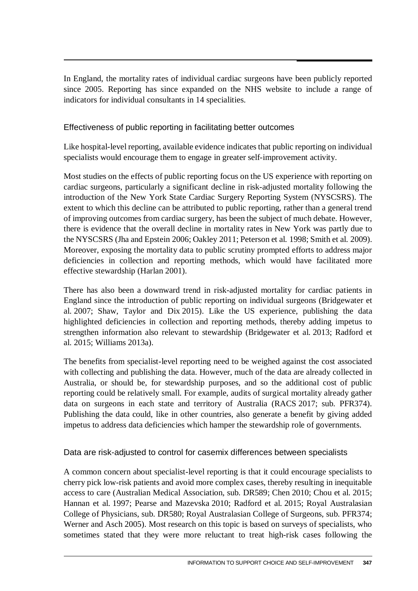In England, the mortality rates of individual cardiac surgeons have been publicly reported since 2005. Reporting has since expanded on the NHS website to include a range of indicators for individual consultants in 14 specialities.

### Effectiveness of public reporting in facilitating better outcomes

Like hospital-level reporting, available evidence indicates that public reporting on individual specialists would encourage them to engage in greater self-improvement activity.

Most studies on the effects of public reporting focus on the US experience with reporting on cardiac surgeons, particularly a significant decline in risk-adjusted mortality following the introduction of the New York State Cardiac Surgery Reporting System (NYSCSRS). The extent to which this decline can be attributed to public reporting, rather than a general trend of improving outcomes from cardiac surgery, has been the subject of much debate. However, there is evidence that the overall decline in mortality rates in New York was partly due to the NYSCSRS (Jha and Epstein 2006; Oakley 2011; Peterson et al. 1998; Smith et al. 2009). Moreover, exposing the mortality data to public scrutiny prompted efforts to address major deficiencies in collection and reporting methods, which would have facilitated more effective stewardship (Harlan 2001).

There has also been a downward trend in risk-adjusted mortality for cardiac patients in England since the introduction of public reporting on individual surgeons (Bridgewater et al. 2007; Shaw, Taylor and Dix 2015). Like the US experience, publishing the data highlighted deficiencies in collection and reporting methods, thereby adding impetus to strengthen information also relevant to stewardship (Bridgewater et al. 2013; Radford et al. 2015; Williams 2013a).

The benefits from specialist-level reporting need to be weighed against the cost associated with collecting and publishing the data. However, much of the data are already collected in Australia, or should be, for stewardship purposes, and so the additional cost of public reporting could be relatively small. For example, audits of surgical mortality already gather data on surgeons in each state and territory of Australia (RACS 2017; sub. PFR374). Publishing the data could, like in other countries, also generate a benefit by giving added impetus to address data deficiencies which hamper the stewardship role of governments.

### Data are risk-adjusted to control for casemix differences between specialists

A common concern about specialist-level reporting is that it could encourage specialists to cherry pick low-risk patients and avoid more complex cases, thereby resulting in inequitable access to care (Australian Medical Association, sub. DR589; Chen 2010; Chou et al. 2015; Hannan et al. 1997; Pearse and Mazevska 2010; Radford et al. 2015; Royal Australasian College of Physicians, sub. DR580; Royal Australasian College of Surgeons, sub. PFR374; Werner and Asch 2005). Most research on this topic is based on surveys of specialists, who sometimes stated that they were more reluctant to treat high-risk cases following the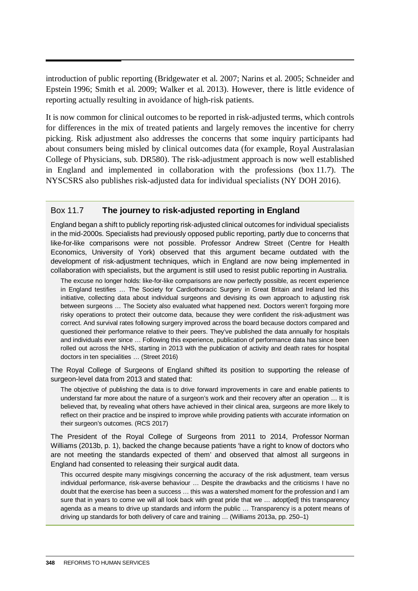introduction of public reporting (Bridgewater et al. 2007; Narins et al. 2005; Schneider and Epstein 1996; Smith et al. 2009; Walker et al. 2013). However, there is little evidence of reporting actually resulting in avoidance of high-risk patients.

It is now common for clinical outcomes to be reported in risk-adjusted terms, which controls for differences in the mix of treated patients and largely removes the incentive for cherry picking. Risk adjustment also addresses the concerns that some inquiry participants had about consumers being misled by clinical outcomes data (for example, Royal Australasian College of Physicians, sub. DR580). The risk-adjustment approach is now well established in England and implemented in collaboration with the professions (box 11.7). The NYSCSRS also publishes risk-adjusted data for individual specialists (NY DOH 2016).

#### Box 11.7 **The journey to risk-adjusted reporting in England**

England began a shift to publicly reporting risk-adjusted clinical outcomes for individual specialists in the mid-2000s. Specialists had previously opposed public reporting, partly due to concerns that like-for-like comparisons were not possible. Professor Andrew Street (Centre for Health Economics, University of York) observed that this argument became outdated with the development of risk-adjustment techniques, which in England are now being implemented in collaboration with specialists, but the argument is still used to resist public reporting in Australia.

The excuse no longer holds: like-for-like comparisons are now perfectly possible, as recent experience in England testifies … The Society for Cardiothoracic Surgery in Great Britain and Ireland led this initiative, collecting data about individual surgeons and devising its own approach to adjusting risk between surgeons … The Society also evaluated what happened next. Doctors weren't forgoing more risky operations to protect their outcome data, because they were confident the risk-adjustment was correct. And survival rates following surgery improved across the board because doctors compared and questioned their performance relative to their peers. They've published the data annually for hospitals and individuals ever since … Following this experience, publication of performance data has since been rolled out across the NHS, starting in 2013 with the publication of activity and death rates for hospital doctors in ten specialities … (Street 2016)

The Royal College of Surgeons of England shifted its position to supporting the release of surgeon-level data from 2013 and stated that:

The objective of publishing the data is to drive forward improvements in care and enable patients to understand far more about the nature of a surgeon's work and their recovery after an operation … It is believed that, by revealing what others have achieved in their clinical area, surgeons are more likely to reflect on their practice and be inspired to improve while providing patients with accurate information on their surgeon's outcomes. (RCS 2017)

The President of the Royal College of Surgeons from 2011 to 2014, Professor Norman Williams (2013b, p. 1), backed the change because patients 'have a right to know of doctors who are not meeting the standards expected of them' and observed that almost all surgeons in England had consented to releasing their surgical audit data.

This occurred despite many misgivings concerning the accuracy of the risk adjustment, team versus individual performance, risk-averse behaviour … Despite the drawbacks and the criticisms I have no doubt that the exercise has been a success … this was a watershed moment for the profession and I am sure that in years to come we will all look back with great pride that we ... adopt[ed] this transparency agenda as a means to drive up standards and inform the public … Transparency is a potent means of driving up standards for both delivery of care and training … (Williams 2013a, pp. 250–1)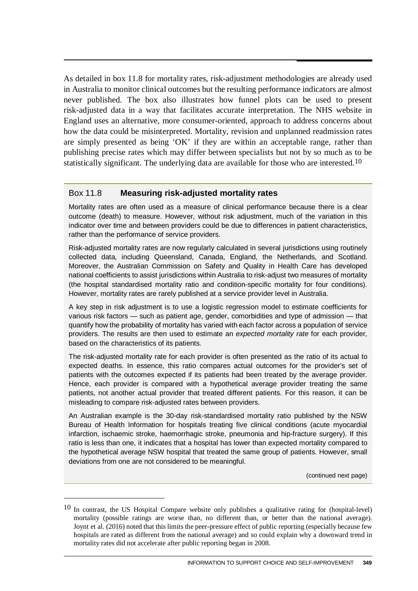As detailed in box 11.8 for mortality rates, risk-adjustment methodologies are already used in Australia to monitor clinical outcomes but the resulting performance indicators are almost never published. The box also illustrates how funnel plots can be used to present risk-adjusted data in a way that facilitates accurate interpretation. The NHS website in England uses an alternative, more consumer-oriented, approach to address concerns about how the data could be misinterpreted. Mortality, revision and unplanned readmission rates are simply presented as being 'OK' if they are within an acceptable range, rather than publishing precise rates which may differ between specialists but not by so much as to be statistically significant. The underlying data are available for those who are interested.<sup>[10](#page-54-0)</sup>

#### Box 11.8 **Measuring risk-adjusted mortality rates**

Mortality rates are often used as a measure of clinical performance because there is a clear outcome (death) to measure. However, without risk adjustment, much of the variation in this indicator over time and between providers could be due to differences in patient characteristics, rather than the performance of service providers.

Risk-adjusted mortality rates are now regularly calculated in several jurisdictions using routinely collected data, including Queensland, Canada, England, the Netherlands, and Scotland. Moreover, the Australian Commission on Safety and Quality in Health Care has developed national coefficients to assist jurisdictions within Australia to risk-adjust two measures of mortality (the hospital standardised mortality ratio and condition-specific mortality for four conditions). However, mortality rates are rarely published at a service provider level in Australia.

A key step in risk adjustment is to use a logistic regression model to estimate coefficients for various risk factors — such as patient age, gender, comorbidities and type of admission — that quantify how the probability of mortality has varied with each factor across a population of service providers. The results are then used to estimate an *expected mortality rate* for each provider, based on the characteristics of its patients.

The risk-adjusted mortality rate for each provider is often presented as the ratio of its actual to expected deaths. In essence, this ratio compares actual outcomes for the provider's set of patients with the outcomes expected if its patients had been treated by the average provider. Hence, each provider is compared with a hypothetical average provider treating the same patients, not another actual provider that treated different patients. For this reason, it can be misleading to compare risk-adjusted rates between providers.

An Australian example is the 30-day risk-standardised mortality ratio published by the NSW Bureau of Health Information for hospitals treating five clinical conditions (acute myocardial infarction, ischaemic stroke, haemorrhagic stroke, pneumonia and hip-fracture surgery). If this ratio is less than one, it indicates that a hospital has lower than expected mortality compared to the hypothetical average NSW hospital that treated the same group of patients. However, small deviations from one are not considered to be meaningful.

(continued next page)

 $\overline{a}$ 

<span id="page-54-0"></span><sup>&</sup>lt;sup>10</sup> In contrast, the US Hospital Compare website only publishes a qualitative rating for (hospital-level) mortality (possible ratings are worse than, no different than, or better than the national average). Joynt et al. (2016) noted that this limits the peer-pressure effect of public reporting (especially because few hospitals are rated as different from the national average) and so could explain why a downward trend in mortality rates did not accelerate after public reporting began in 2008.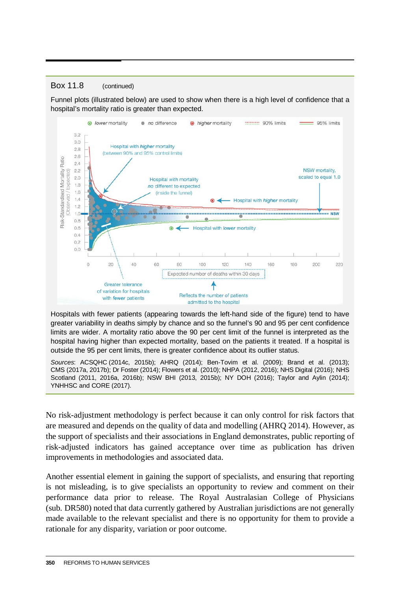#### Box 11.8 (continued)

Funnel plots (illustrated below) are used to show when there is a high level of confidence that a hospital's mortality ratio is greater than expected.



Hospitals with fewer patients (appearing towards the left-hand side of the figure) tend to have greater variability in deaths simply by chance and so the funnel's 90 and 95 per cent confidence limits are wider. A mortality ratio above the 90 per cent limit of the funnel is interpreted as the hospital having higher than expected mortality, based on the patients it treated. If a hospital is outside the 95 per cent limits, there is greater confidence about its outlier status.

*Sources*: ACSQHC (2014c, 2015b); AHRQ (2014); Ben-Tovim et al. (2009); Brand et al. (2013); CMS (2017a, 2017b); Dr Foster (2014); Flowers et al. (2010); NHPA (2012, 2016); NHS Digital (2016); NHS Scotland (2011, 2016a, 2016b); NSW BHI (2013, 2015b); NY DOH (2016); Taylor and Aylin (2014); YNHHSC and CORE (2017).

No risk-adjustment methodology is perfect because it can only control for risk factors that are measured and depends on the quality of data and modelling (AHRQ 2014). However, as the support of specialists and their associations in England demonstrates, public reporting of risk-adjusted indicators has gained acceptance over time as publication has driven improvements in methodologies and associated data.

Another essential element in gaining the support of specialists, and ensuring that reporting is not misleading, is to give specialists an opportunity to review and comment on their performance data prior to release. The Royal Australasian College of Physicians (sub. DR580) noted that data currently gathered by Australian jurisdictions are not generally made available to the relevant specialist and there is no opportunity for them to provide a rationale for any disparity, variation or poor outcome.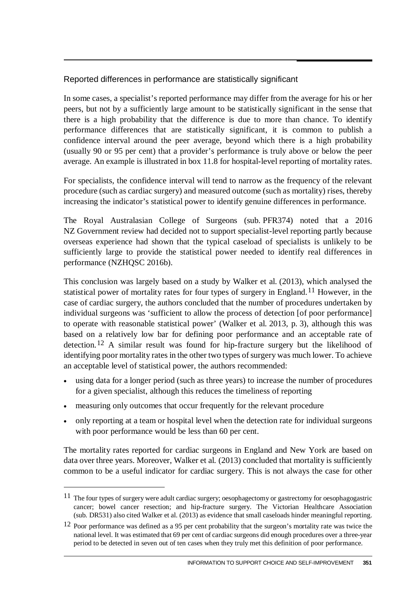## Reported differences in performance are statistically significant

In some cases, a specialist's reported performance may differ from the average for his or her peers, but not by a sufficiently large amount to be statistically significant in the sense that there is a high probability that the difference is due to more than chance. To identify performance differences that are statistically significant, it is common to publish a confidence interval around the peer average, beyond which there is a high probability (usually 90 or 95 per cent) that a provider's performance is truly above or below the peer average. An example is illustrated in box 11.8 for hospital-level reporting of mortality rates.

For specialists, the confidence interval will tend to narrow as the frequency of the relevant procedure (such as cardiac surgery) and measured outcome (such as mortality) rises, thereby increasing the indicator's statistical power to identify genuine differences in performance.

The Royal Australasian College of Surgeons (sub. PFR374) noted that a 2016 NZ Government review had decided not to support specialist-level reporting partly because overseas experience had shown that the typical caseload of specialists is unlikely to be sufficiently large to provide the statistical power needed to identify real differences in performance (NZHQSC 2016b).

This conclusion was largely based on a study by Walker et al. (2013), which analysed the statistical power of mortality rates for four types of surgery in England.[11](#page-56-0) However, in the case of cardiac surgery, the authors concluded that the number of procedures undertaken by individual surgeons was 'sufficient to allow the process of detection [of poor performance] to operate with reasonable statistical power' (Walker et al. 2013, p. 3), although this was based on a relatively low bar for defining poor performance and an acceptable rate of detection.[12](#page-56-1) A similar result was found for hip-fracture surgery but the likelihood of identifying poor mortality rates in the other two types of surgery was much lower. To achieve an acceptable level of statistical power, the authors recommended:

- using data for a longer period (such as three years) to increase the number of procedures for a given specialist, although this reduces the timeliness of reporting
- measuring only outcomes that occur frequently for the relevant procedure

 $\overline{a}$ 

• only reporting at a team or hospital level when the detection rate for individual surgeons with poor performance would be less than 60 per cent.

The mortality rates reported for cardiac surgeons in England and New York are based on data over three years. Moreover, Walker et al. (2013) concluded that mortality is sufficiently common to be a useful indicator for cardiac surgery. This is not always the case for other

<span id="page-56-0"></span><sup>11</sup> The four types of surgery were adult cardiac surgery; oesophagectomy or gastrectomy for oesophagogastric cancer; bowel cancer resection; and hip-fracture surgery. The Victorian Healthcare Association (sub. DR531) also cited Walker et al. (2013) as evidence that small caseloads hinder meaningful reporting.

<span id="page-56-1"></span><sup>12</sup> Poor performance was defined as a 95 per cent probability that the surgeon's mortality rate was twice the national level. It was estimated that 69 per cent of cardiac surgeons did enough procedures over a three-year period to be detected in seven out of ten cases when they truly met this definition of poor performance.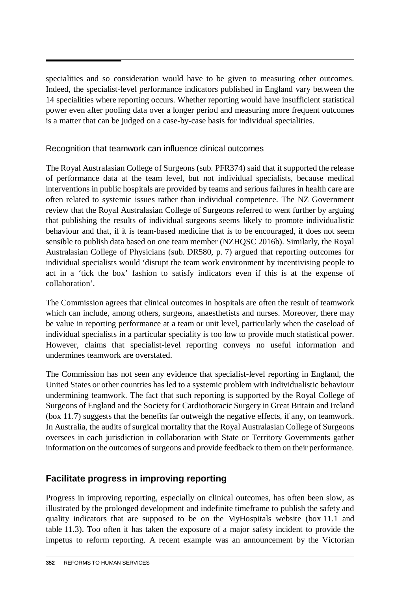specialities and so consideration would have to be given to measuring other outcomes. Indeed, the specialist-level performance indicators published in England vary between the 14 specialities where reporting occurs. Whether reporting would have insufficient statistical power even after pooling data over a longer period and measuring more frequent outcomes is a matter that can be judged on a case-by-case basis for individual specialities.

#### Recognition that teamwork can influence clinical outcomes

The Royal Australasian College of Surgeons (sub. PFR374) said that it supported the release of performance data at the team level, but not individual specialists, because medical interventions in public hospitals are provided by teams and serious failures in health care are often related to systemic issues rather than individual competence. The NZ Government review that the Royal Australasian College of Surgeons referred to went further by arguing that publishing the results of individual surgeons seems likely to promote individualistic behaviour and that, if it is team-based medicine that is to be encouraged, it does not seem sensible to publish data based on one team member (NZHQSC 2016b). Similarly, the Royal Australasian College of Physicians (sub. DR580, p. 7) argued that reporting outcomes for individual specialists would 'disrupt the team work environment by incentivising people to act in a 'tick the box' fashion to satisfy indicators even if this is at the expense of collaboration'.

The Commission agrees that clinical outcomes in hospitals are often the result of teamwork which can include, among others, surgeons, anaesthetists and nurses. Moreover, there may be value in reporting performance at a team or unit level, particularly when the caseload of individual specialists in a particular speciality is too low to provide much statistical power. However, claims that specialist-level reporting conveys no useful information and undermines teamwork are overstated.

The Commission has not seen any evidence that specialist-level reporting in England, the United States or other countries has led to a systemic problem with individualistic behaviour undermining teamwork. The fact that such reporting is supported by the Royal College of Surgeons of England and the Society for Cardiothoracic Surgery in Great Britain and Ireland (box 11.7) suggests that the benefits far outweigh the negative effects, if any, on teamwork. In Australia, the audits of surgical mortality that the Royal Australasian College of Surgeons oversees in each jurisdiction in collaboration with State or Territory Governments gather information on the outcomes of surgeons and provide feedback to them on their performance.

# **Facilitate progress in improving reporting**

Progress in improving reporting, especially on clinical outcomes, has often been slow, as illustrated by the prolonged development and indefinite timeframe to publish the safety and quality indicators that are supposed to be on the MyHospitals website (box 11.1 and table 11.3). Too often it has taken the exposure of a major safety incident to provide the impetus to reform reporting. A recent example was an announcement by the Victorian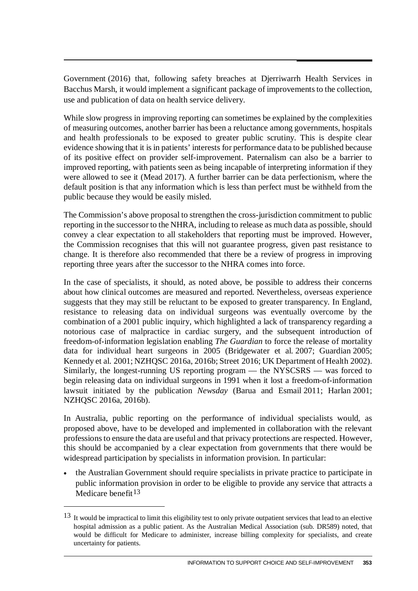Government (2016) that, following safety breaches at Djerriwarrh Health Services in Bacchus Marsh, it would implement a significant package of improvements to the collection, use and publication of data on health service delivery.

While slow progress in improving reporting can sometimes be explained by the complexities of measuring outcomes, another barrier has been a reluctance among governments, hospitals and health professionals to be exposed to greater public scrutiny. This is despite clear evidence showing that it is in patients' interests for performance data to be published because of its positive effect on provider self-improvement. Paternalism can also be a barrier to improved reporting, with patients seen as being incapable of interpreting information if they were allowed to see it (Mead 2017). A further barrier can be data perfectionism, where the default position is that any information which is less than perfect must be withheld from the public because they would be easily misled.

The Commission's above proposal to strengthen the cross-jurisdiction commitment to public reporting in the successor to the NHRA, including to release as much data as possible, should convey a clear expectation to all stakeholders that reporting must be improved. However, the Commission recognises that this will not guarantee progress, given past resistance to change. It is therefore also recommended that there be a review of progress in improving reporting three years after the successor to the NHRA comes into force.

In the case of specialists, it should, as noted above, be possible to address their concerns about how clinical outcomes are measured and reported. Nevertheless, overseas experience suggests that they may still be reluctant to be exposed to greater transparency. In England, resistance to releasing data on individual surgeons was eventually overcome by the combination of a 2001 public inquiry, which highlighted a lack of transparency regarding a notorious case of malpractice in cardiac surgery, and the subsequent introduction of freedom-of-information legislation enabling *The Guardian* to force the release of mortality data for individual heart surgeons in 2005 (Bridgewater et al. 2007; Guardian 2005; Kennedy et al. 2001; NZHQSC 2016a, 2016b; Street 2016; UK Department of Health 2002). Similarly, the longest-running US reporting program — the NYSCSRS — was forced to begin releasing data on individual surgeons in 1991 when it lost a freedom-of-information lawsuit initiated by the publication *Newsday* (Barua and Esmail 2011; Harlan 2001; NZHQSC 2016a, 2016b).

In Australia, public reporting on the performance of individual specialists would, as proposed above, have to be developed and implemented in collaboration with the relevant professions to ensure the data are useful and that privacy protections are respected. However, this should be accompanied by a clear expectation from governments that there would be widespread participation by specialists in information provision. In particular:

• the Australian Government should require specialists in private practice to participate in public information provision in order to be eligible to provide any service that attracts a Medicare benefit  $13$ 

 $\overline{a}$ 

<span id="page-58-0"></span><sup>&</sup>lt;sup>13</sup> It would be impractical to limit this eligibility test to only private outpatient services that lead to an elective hospital admission as a public patient. As the Australian Medical Association (sub. DR589) noted, that would be difficult for Medicare to administer, increase billing complexity for specialists, and create uncertainty for patients.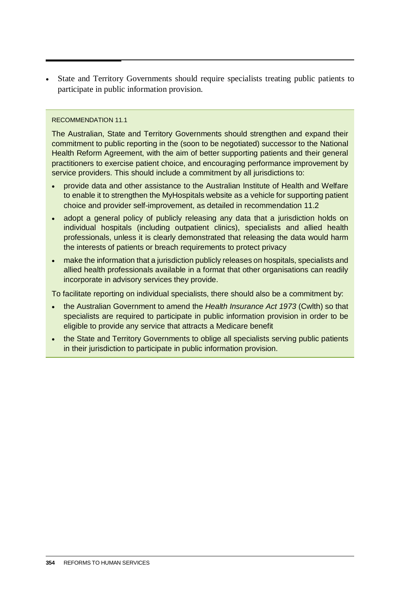• State and Territory Governments should require specialists treating public patients to participate in public information provision.

#### RECOMMENDATION 11.1

The Australian, State and Territory Governments should strengthen and expand their commitment to public reporting in the (soon to be negotiated) successor to the National Health Reform Agreement, with the aim of better supporting patients and their general practitioners to exercise patient choice, and encouraging performance improvement by service providers. This should include a commitment by all jurisdictions to:

- provide data and other assistance to the Australian Institute of Health and Welfare to enable it to strengthen the MyHospitals website as a vehicle for supporting patient choice and provider self-improvement, as detailed in recommendation 11.2
- adopt a general policy of publicly releasing any data that a jurisdiction holds on individual hospitals (including outpatient clinics), specialists and allied health professionals, unless it is clearly demonstrated that releasing the data would harm the interests of patients or breach requirements to protect privacy
- make the information that a jurisdiction publicly releases on hospitals, specialists and allied health professionals available in a format that other organisations can readily incorporate in advisory services they provide.

To facilitate reporting on individual specialists, there should also be a commitment by:

- the Australian Government to amend the *Health Insurance Act 1973* (Cwlth) so that specialists are required to participate in public information provision in order to be eligible to provide any service that attracts a Medicare benefit
- the State and Territory Governments to oblige all specialists serving public patients in their jurisdiction to participate in public information provision.